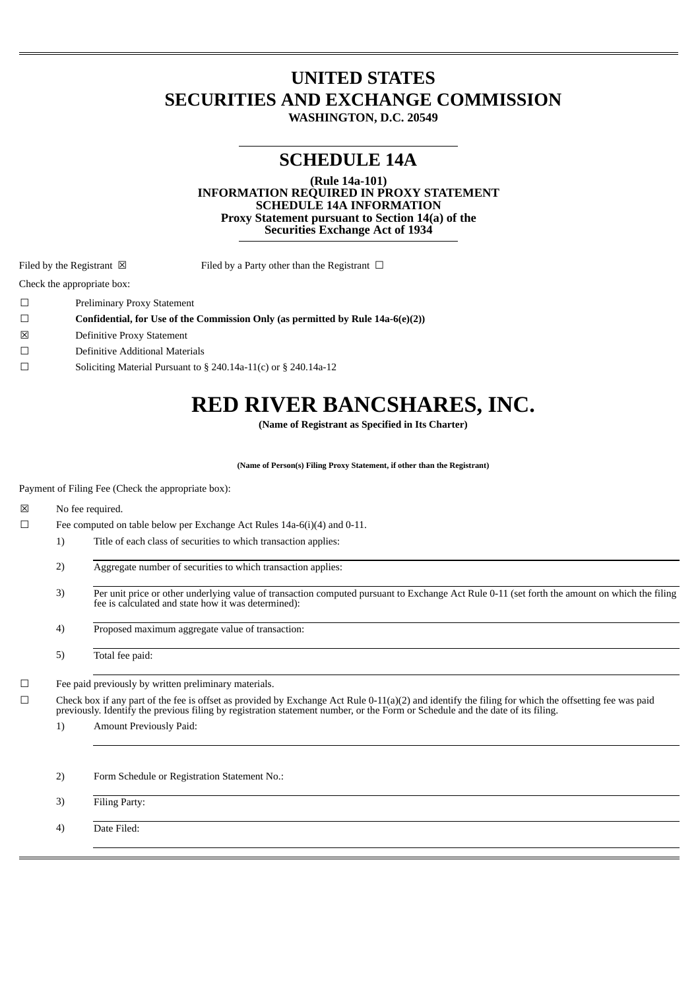# **UNITED STATES SECURITIES AND EXCHANGE COMMISSION**

**WASHINGTON, D.C. 20549**

# **SCHEDULE 14A**

**(Rule 14a-101)**

**INFORMATION REQUIRED IN PROXY STATEMENT SCHEDULE 14A INFORMATION Proxy Statement pursuant to Section 14(a) of the Securities Exchange Act of 1934**

Filed by the Registrant  $\boxtimes$  Filed by a Party other than the Registrant  $\Box$ 

Check the appropriate box:

☐ Preliminary Proxy Statement

☐ **Confidential, for Use of the Commission Only (as permitted by Rule 14a-6(e)(2))**

- ☒ Definitive Proxy Statement
- ☐ Definitive Additional Materials
- ☐ Soliciting Material Pursuant to § 240.14a-11(c) or § 240.14a-12

# **RED RIVER BANCSHARES, INC.**

**(Name of Registrant as Specified in Its Charter)**

**(Name of Person(s) Filing Proxy Statement, if other than the Registrant)**

Payment of Filing Fee (Check the appropriate box):

☒ No fee required.

- ☐ Fee computed on table below per Exchange Act Rules 14a-6(i)(4) and 0-11.
	- 1) Title of each class of securities to which transaction applies:
	- 2) Aggregate number of securities to which transaction applies:
	- 3) Per unit price or other underlying value of transaction computed pursuant to Exchange Act Rule 0-11 (set forth the amount on which the filing fee is calculated and state how it was determined):
	- 4) Proposed maximum aggregate value of transaction:

5) Total fee paid:

☐ Fee paid previously by written preliminary materials.

 $\Box$  Check box if any part of the fee is offset as provided by Exchange Act Rule 0-11(a)(2) and identify the filing for which the offsetting fee was paid previously. Identify the previous filing by registration statement number, or the Form or Schedule and the date of its filing.

- 1) Amount Previously Paid:
- 2) Form Schedule or Registration Statement No.:

3) Filing Party:

4) Date Filed: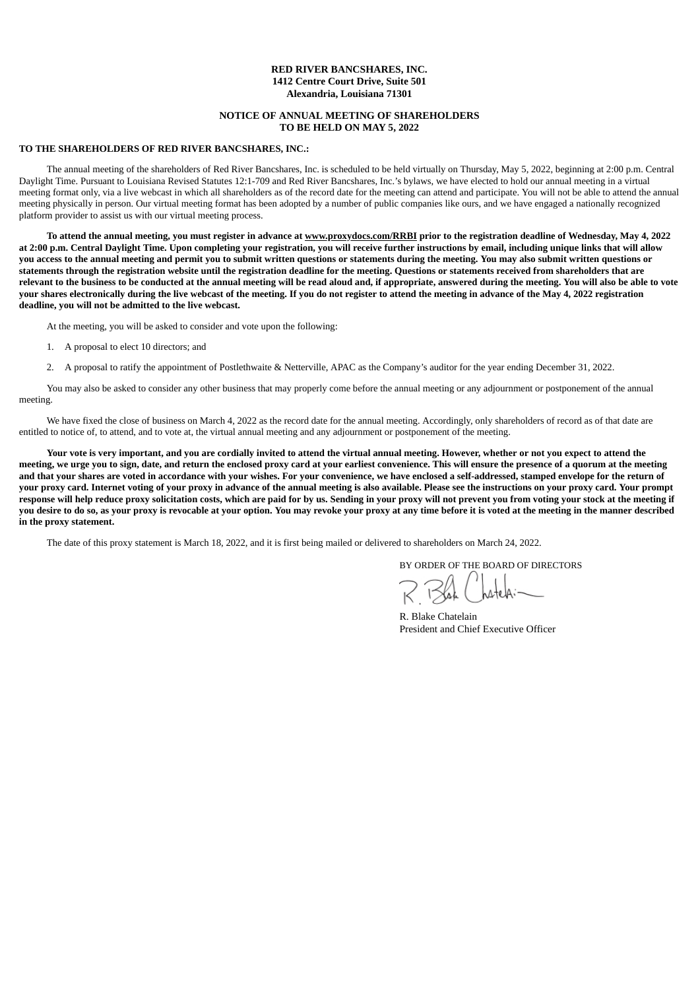# **RED RIVER BANCSHARES, INC. 1412 Centre Court Drive, Suite 501 Alexandria, Louisiana 71301**

# **NOTICE OF ANNUAL MEETING OF SHAREHOLDERS TO BE HELD ON MAY 5, 2022**

# **TO THE SHAREHOLDERS OF RED RIVER BANCSHARES, INC.:**

The annual meeting of the shareholders of Red River Bancshares, Inc. is scheduled to be held virtually on Thursday, May 5, 2022, beginning at 2:00 p.m. Central Daylight Time. Pursuant to Louisiana Revised Statutes 12:1-709 and Red River Bancshares, Inc.'s bylaws, we have elected to hold our annual meeting in a virtual meeting format only, via a live webcast in which all shareholders as of the record date for the meeting can attend and participate. You will not be able to attend the annual meeting physically in person. Our virtual meeting format has been adopted by a number of public companies like ours, and we have engaged a nationally recognized platform provider to assist us with our virtual meeting process.

To attend the annual meeting, you must register in advance at www.proxydocs.com/RRBI prior to the registration deadline of Wednesday, May 4, 2022 at 2:00 p.m. Central Daylight Time. Upon completing your registration, you will receive further instructions by email, including unique links that will allow you access to the annual meeting and permit you to submit written questions or statements during the meeting. You may also submit written questions or statements through the registration website until the registration deadline for the meeting. Questions or statements received from shareholders that are relevant to the business to be conducted at the annual meeting will be read aloud and, if appropriate, answered during the meeting. You will also be able to vote your shares electronically during the live webcast of the meeting. If you do not register to attend the meeting in advance of the May 4, 2022 registration **deadline, you will not be admitted to the live webcast.**

At the meeting, you will be asked to consider and vote upon the following:

- 1. A proposal to elect 10 directors; and
- 2. A proposal to ratify the appointment of Postlethwaite & Netterville, APAC as the Company's auditor for the year ending December 31, 2022.

You may also be asked to consider any other business that may properly come before the annual meeting or any adjournment or postponement of the annual meeting.

We have fixed the close of business on March 4, 2022 as the record date for the annual meeting. Accordingly, only shareholders of record as of that date are entitled to notice of, to attend, and to vote at, the virtual annual meeting and any adjournment or postponement of the meeting.

Your vote is very important, and you are cordially invited to attend the virtual annual meeting. However, whether or not you expect to attend the meeting, we urge you to sign, date, and return the enclosed proxy card at your earliest convenience. This will ensure the presence of a quorum at the meeting and that your shares are voted in accordance with your wishes. For your convenience, we have enclosed a self-addressed, stamped envelope for the return of your proxy card. Internet voting of your proxy in advance of the annual meeting is also available. Please see the instructions on your proxy card. Your prompt response will help reduce proxy solicitation costs, which are paid for by us. Sending in your proxy will not prevent you from voting your stock at the meeting if you desire to do so, as your proxy is revocable at your option. You may revoke your proxy at any time before it is voted at the meeting in the manner described **in the proxy statement.**

The date of this proxy statement is March 18, 2022, and it is first being mailed or delivered to shareholders on March 24, 2022.

BY ORDER OF THE BOARD OF DIRECTORS

R. Blake Chatelain President and Chief Executive Officer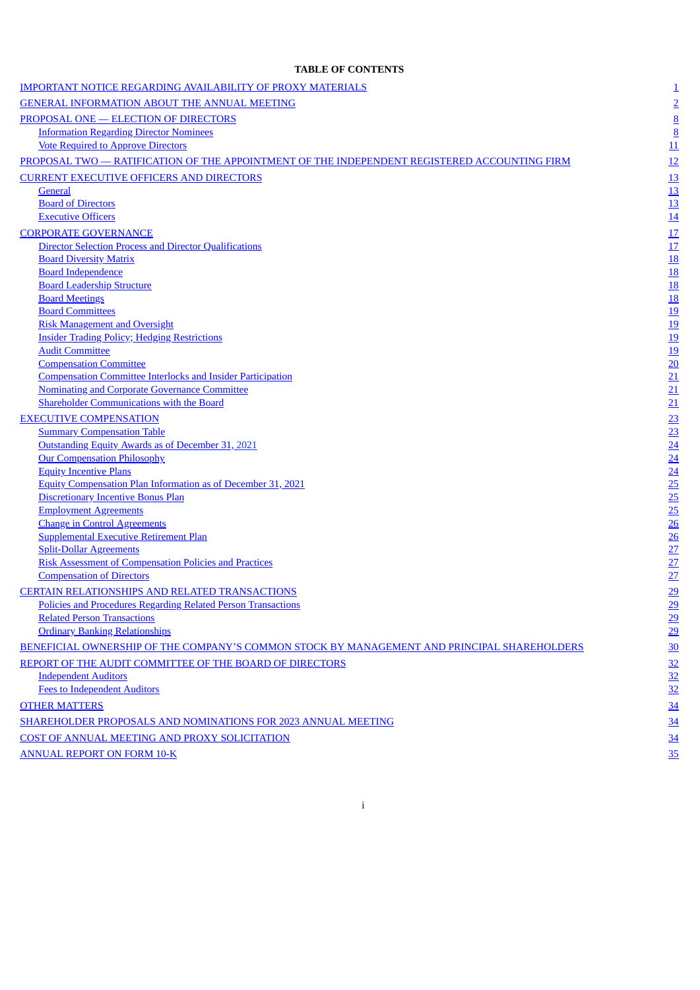# **TABLE OF CONTENTS**

| <b>IMPORTANT NOTICE REGARDING AVAILABILITY OF PROXY MATERIALS</b>                            | $\overline{1}$                |
|----------------------------------------------------------------------------------------------|-------------------------------|
| <b>GENERAL INFORMATION ABOUT THE ANNUAL MEETING</b>                                          | $\overline{2}$                |
| PROPOSAL ONE - ELECTION OF DIRECTORS                                                         |                               |
| <b>Information Regarding Director Nominees</b>                                               | $\frac{8}{8}$                 |
| <b>Vote Required to Approve Directors</b>                                                    | 11                            |
| PROPOSAL TWO — RATIFICATION OF THE APPOINTMENT OF THE INDEPENDENT REGISTERED ACCOUNTING FIRM | 12                            |
| <b>CURRENT EXECUTIVE OFFICERS AND DIRECTORS</b>                                              | <u>13</u>                     |
| <b>General</b>                                                                               | <u>13</u>                     |
| <b>Board of Directors</b>                                                                    |                               |
| <b>Executive Officers</b>                                                                    | $\frac{13}{14}$               |
| <b>CORPORATE GOVERNANCE</b>                                                                  |                               |
| <b>Director Selection Process and Director Qualifications</b>                                | $\frac{17}{17}$               |
| <b>Board Diversity Matrix</b>                                                                |                               |
| <b>Board Independence</b>                                                                    | <u>18<br/>18<br/>18</u><br>18 |
| <b>Board Leadership Structure</b>                                                            |                               |
| <b>Board Meetings</b>                                                                        |                               |
| <b>Board Committees</b>                                                                      |                               |
| <b>Risk Management and Oversight</b>                                                         | $\frac{19}{19}$               |
| <b>Insider Trading Policy; Hedging Restrictions</b>                                          | <u>19</u>                     |
| <b>Audit Committee</b>                                                                       | $\frac{19}{20}$               |
| <b>Compensation Committee</b>                                                                |                               |
| <b>Compensation Committee Interlocks and Insider Participation</b>                           | $\overline{21}$               |
| <b>Nominating and Corporate Governance Committee</b>                                         | 21                            |
| <b>Shareholder Communications with the Board</b>                                             | 21                            |
| <b>EXECUTIVE COMPENSATION</b>                                                                | 23 24 24 24 25 25 26 26 27 27 |
| <b>Summary Compensation Table</b>                                                            |                               |
| Outstanding Equity Awards as of December 31, 2021                                            |                               |
| <b>Our Compensation Philosophy</b>                                                           |                               |
| <b>Equity Incentive Plans</b>                                                                |                               |
| <b>Equity Compensation Plan Information as of December 31, 2021</b>                          |                               |
| <b>Discretionary Incentive Bonus Plan</b>                                                    |                               |
| <b>Employment Agreements</b>                                                                 |                               |
| <b>Change in Control Agreements</b><br><b>Supplemental Executive Retirement Plan</b>         |                               |
| <b>Split-Dollar Agreements</b>                                                               |                               |
| <b>Risk Assessment of Compensation Policies and Practices</b>                                |                               |
| <b>Compensation of Directors</b>                                                             |                               |
| <b>CERTAIN RELATIONSHIPS AND RELATED TRANSACTIONS</b>                                        | $\overline{29}$               |
| Policies and Procedures Regarding Related Person Transactions                                | 29                            |
| <b>Related Person Transactions</b>                                                           | 29                            |
| <b>Ordinary Banking Relationships</b>                                                        | 29                            |
| BENEFICIAL OWNERSHIP OF THE COMPANY'S COMMON STOCK BY MANAGEMENT AND PRINCIPAL SHAREHOLDERS  | $\frac{30}{5}$                |
| REPORT OF THE AUDIT COMMITTEE OF THE BOARD OF DIRECTORS                                      |                               |
| <b>Independent Auditors</b>                                                                  | 32                            |
| <b>Fees to Independent Auditors</b>                                                          | $\frac{32}{5}$<br>32          |
|                                                                                              |                               |
| <b>OTHER MATTERS</b>                                                                         | $\frac{34}{5}$                |
| <u>SHAREHOLDER PROPOSALS AND NOMINATIONS FOR 2023 ANNUAL MEETING</u>                         | 34                            |
| <b>COST OF ANNUAL MEETING AND PROXY SOLICITATION</b>                                         | <u>34</u>                     |
| <b>ANNUAL REPORT ON FORM 10-K</b>                                                            | 35                            |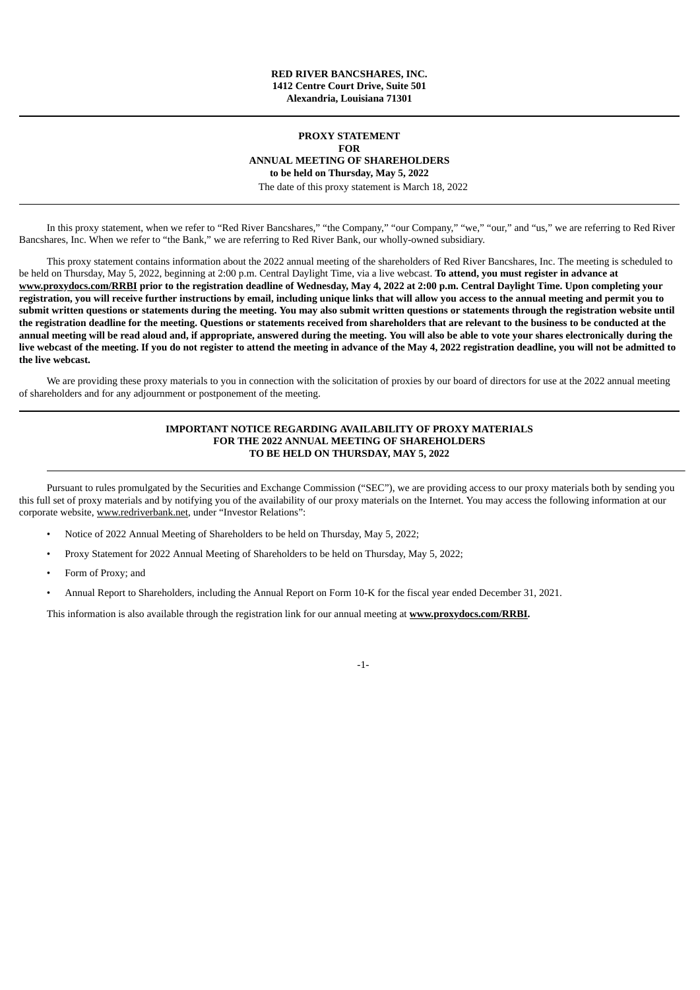# **RED RIVER BANCSHARES, INC. 1412 Centre Court Drive, Suite 501 Alexandria, Louisiana 71301**

# **PROXY STATEMENT FOR ANNUAL MEETING OF SHAREHOLDERS to be held on Thursday, May 5, 2022** The date of this proxy statement is March 18, 2022

In this proxy statement, when we refer to "Red River Bancshares," "the Company," "our Company," "we," "our," and "us," we are referring to Red River Bancshares, Inc. When we refer to "the Bank," we are referring to Red River Bank, our wholly-owned subsidiary.

This proxy statement contains information about the 2022 annual meeting of the shareholders of Red River Bancshares, Inc. The meeting is scheduled to be held on Thursday, May 5, 2022, beginning at 2:00 p.m. Central Daylight Time, via a live webcast. **To attend, you must register in advance at** www.proxydocs.com/RRBI prior to the registration deadline of Wednesday, May 4, 2022 at 2:00 p.m. Central Daylight Time. Upon completing your registration, you will receive further instructions by email, including unique links that will allow you access to the annual meeting and permit you to submit written questions or statements during the meeting. You may also submit written questions or statements through the registration website until the registration deadline for the meeting. Questions or statements received from shareholders that are relevant to the business to be conducted at the annual meeting will be read aloud and, if appropriate, answered during the meeting. You will also be able to vote your shares electronically during the live webcast of the meeting. If you do not register to attend the meeting in advance of the May 4, 2022 registration deadline, you will not be admitted to **the live webcast.**

<span id="page-3-0"></span>We are providing these proxy materials to you in connection with the solicitation of proxies by our board of directors for use at the 2022 annual meeting of shareholders and for any adjournment or postponement of the meeting.

# **IMPORTANT NOTICE REGARDING AVAILABILITY OF PROXY MATERIALS FOR THE 2022 ANNUAL MEETING OF SHAREHOLDERS TO BE HELD ON THURSDAY, MAY 5, 2022**

Pursuant to rules promulgated by the Securities and Exchange Commission ("SEC"), we are providing access to our proxy materials both by sending you this full set of proxy materials and by notifying you of the availability of our proxy materials on the Internet. You may access the following information at our corporate website, www.redriverbank.net, under "Investor Relations":

- Notice of 2022 Annual Meeting of Shareholders to be held on Thursday, May 5, 2022;
- Proxy Statement for 2022 Annual Meeting of Shareholders to be held on Thursday, May 5, 2022;
- Form of Proxy; and
- Annual Report to Shareholders, including the Annual Report on Form 10-K for the fiscal year ended December 31, 2021.

<span id="page-3-1"></span>This information is also available through the registration link for our annual meeting at **www.proxydocs.com/RRBI.**

-1-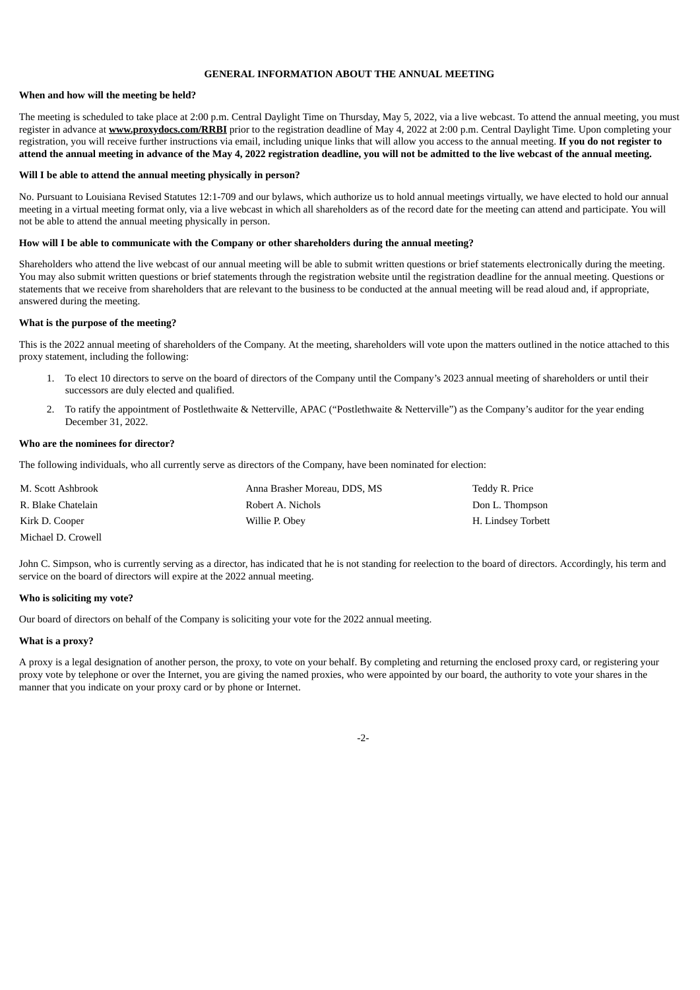# **GENERAL INFORMATION ABOUT THE ANNUAL MEETING**

# **When and how will the meeting be held?**

The meeting is scheduled to take place at 2:00 p.m. Central Daylight Time on Thursday, May 5, 2022, via a live webcast. To attend the annual meeting, you must register in advance at **www.proxydocs.com/RRBI** prior to the registration deadline of May 4, 2022 at 2:00 p.m. Central Daylight Time. Upon completing your registration, you will receive further instructions via email, including unique links that will allow you access to the annual meeting. **If you do not register to** attend the annual meeting in advance of the May 4, 2022 registration deadline, you will not be admitted to the live webcast of the annual meeting.

#### **Will I be able to attend the annual meeting physically in person?**

No. Pursuant to Louisiana Revised Statutes 12:1-709 and our bylaws, which authorize us to hold annual meetings virtually, we have elected to hold our annual meeting in a virtual meeting format only, via a live webcast in which all shareholders as of the record date for the meeting can attend and participate. You will not be able to attend the annual meeting physically in person.

#### **How will I be able to communicate with the Company or other shareholders during the annual meeting?**

Shareholders who attend the live webcast of our annual meeting will be able to submit written questions or brief statements electronically during the meeting. You may also submit written questions or brief statements through the registration website until the registration deadline for the annual meeting. Questions or statements that we receive from shareholders that are relevant to the business to be conducted at the annual meeting will be read aloud and, if appropriate, answered during the meeting.

#### **What is the purpose of the meeting?**

This is the 2022 annual meeting of shareholders of the Company. At the meeting, shareholders will vote upon the matters outlined in the notice attached to this proxy statement, including the following:

- 1. To elect 10 directors to serve on the board of directors of the Company until the Company's 2023 annual meeting of shareholders or until their successors are duly elected and qualified.
- 2. To ratify the appointment of Postlethwaite & Netterville, APAC ("Postlethwaite & Netterville") as the Company's auditor for the year ending December 31, 2022.

#### **Who are the nominees for director?**

The following individuals, who all currently serve as directors of the Company, have been nominated for election:

| M. Scott Ashbrook  | Anna Brasher Moreau, DDS, MS | Teddy R. Price     |
|--------------------|------------------------------|--------------------|
| R. Blake Chatelain | Robert A. Nichols            | Don L. Thompson    |
| Kirk D. Cooper     | Willie P. Obey               | H. Lindsey Torbett |
| Michael D. Crowell |                              |                    |

John C. Simpson, who is currently serving as a director, has indicated that he is not standing for reelection to the board of directors. Accordingly, his term and service on the board of directors will expire at the 2022 annual meeting.

### **Who is soliciting my vote?**

Our board of directors on behalf of the Company is soliciting your vote for the 2022 annual meeting.

#### **What is a proxy?**

A proxy is a legal designation of another person, the proxy, to vote on your behalf. By completing and returning the enclosed proxy card, or registering your proxy vote by telephone or over the Internet, you are giving the named proxies, who were appointed by our board, the authority to vote your shares in the manner that you indicate on your proxy card or by phone or Internet.

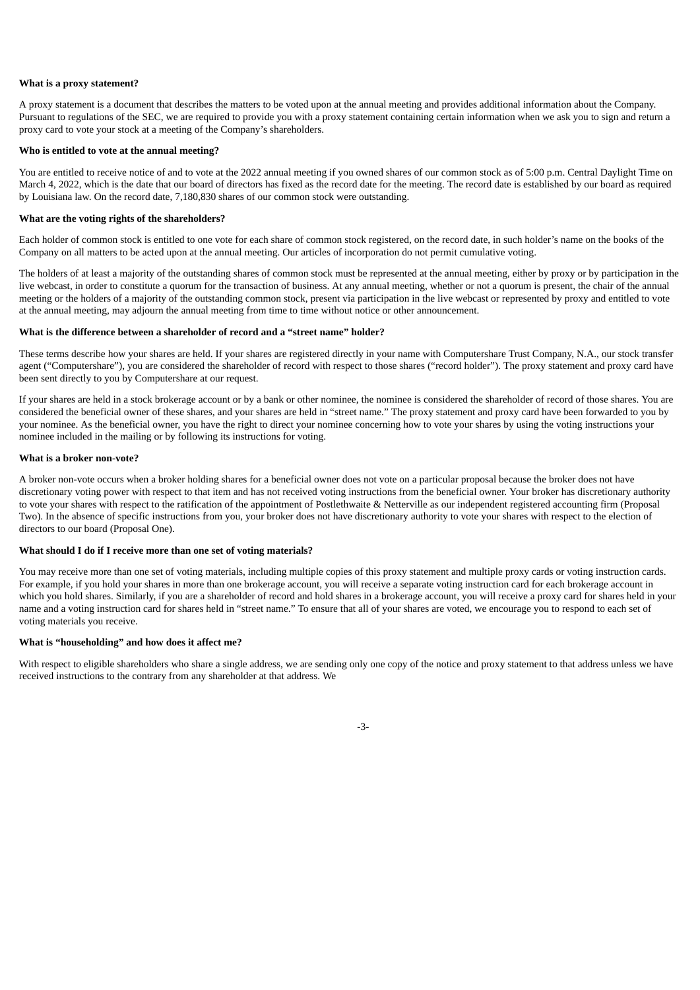# **What is a proxy statement?**

A proxy statement is a document that describes the matters to be voted upon at the annual meeting and provides additional information about the Company. Pursuant to regulations of the SEC, we are required to provide you with a proxy statement containing certain information when we ask you to sign and return a proxy card to vote your stock at a meeting of the Company's shareholders.

#### **Who is entitled to vote at the annual meeting?**

You are entitled to receive notice of and to vote at the 2022 annual meeting if you owned shares of our common stock as of 5:00 p.m. Central Daylight Time on March 4, 2022, which is the date that our board of directors has fixed as the record date for the meeting. The record date is established by our board as required by Louisiana law. On the record date, 7,180,830 shares of our common stock were outstanding.

### **What are the voting rights of the shareholders?**

Each holder of common stock is entitled to one vote for each share of common stock registered, on the record date, in such holder's name on the books of the Company on all matters to be acted upon at the annual meeting. Our articles of incorporation do not permit cumulative voting.

The holders of at least a majority of the outstanding shares of common stock must be represented at the annual meeting, either by proxy or by participation in the live webcast, in order to constitute a quorum for the transaction of business. At any annual meeting, whether or not a quorum is present, the chair of the annual meeting or the holders of a majority of the outstanding common stock, present via participation in the live webcast or represented by proxy and entitled to vote at the annual meeting, may adjourn the annual meeting from time to time without notice or other announcement.

#### **What is the difference between a shareholder of record and a "street name" holder?**

These terms describe how your shares are held. If your shares are registered directly in your name with Computershare Trust Company, N.A., our stock transfer agent ("Computershare"), you are considered the shareholder of record with respect to those shares ("record holder"). The proxy statement and proxy card have been sent directly to you by Computershare at our request.

If your shares are held in a stock brokerage account or by a bank or other nominee, the nominee is considered the shareholder of record of those shares. You are considered the beneficial owner of these shares, and your shares are held in "street name." The proxy statement and proxy card have been forwarded to you by your nominee. As the beneficial owner, you have the right to direct your nominee concerning how to vote your shares by using the voting instructions your nominee included in the mailing or by following its instructions for voting.

# **What is a broker non-vote?**

A broker non-vote occurs when a broker holding shares for a beneficial owner does not vote on a particular proposal because the broker does not have discretionary voting power with respect to that item and has not received voting instructions from the beneficial owner. Your broker has discretionary authority to vote your shares with respect to the ratification of the appointment of Postlethwaite & Netterville as our independent registered accounting firm (Proposal Two). In the absence of specific instructions from you, your broker does not have discretionary authority to vote your shares with respect to the election of directors to our board (Proposal One).

#### **What should I do if I receive more than one set of voting materials?**

You may receive more than one set of voting materials, including multiple copies of this proxy statement and multiple proxy cards or voting instruction cards. For example, if you hold your shares in more than one brokerage account, you will receive a separate voting instruction card for each brokerage account in which you hold shares. Similarly, if you are a shareholder of record and hold shares in a brokerage account, you will receive a proxy card for shares held in your name and a voting instruction card for shares held in "street name." To ensure that all of your shares are voted, we encourage you to respond to each set of voting materials you receive.

#### **What is "householding" and how does it affect me?**

With respect to eligible shareholders who share a single address, we are sending only one copy of the notice and proxy statement to that address unless we have received instructions to the contrary from any shareholder at that address. We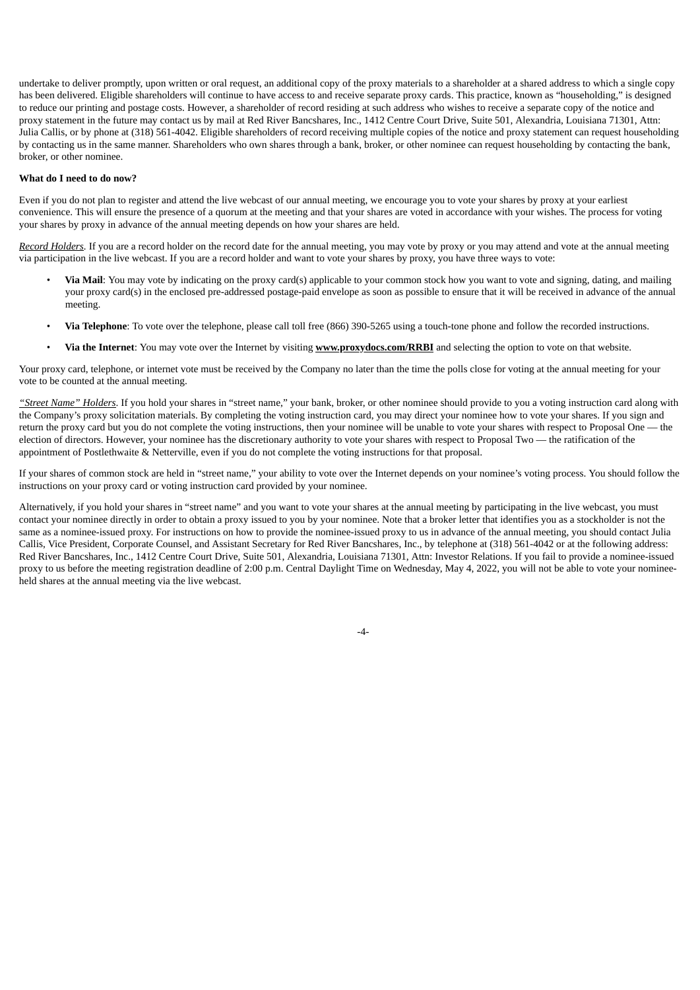undertake to deliver promptly, upon written or oral request, an additional copy of the proxy materials to a shareholder at a shared address to which a single copy has been delivered. Eligible shareholders will continue to have access to and receive separate proxy cards. This practice, known as "householding," is designed to reduce our printing and postage costs. However, a shareholder of record residing at such address who wishes to receive a separate copy of the notice and proxy statement in the future may contact us by mail at Red River Bancshares, Inc., 1412 Centre Court Drive, Suite 501, Alexandria, Louisiana 71301, Attn: Julia Callis, or by phone at (318) 561-4042. Eligible shareholders of record receiving multiple copies of the notice and proxy statement can request householding by contacting us in the same manner. Shareholders who own shares through a bank, broker, or other nominee can request householding by contacting the bank, broker, or other nominee.

# **What do I need to do now?**

Even if you do not plan to register and attend the live webcast of our annual meeting, we encourage you to vote your shares by proxy at your earliest convenience. This will ensure the presence of a quorum at the meeting and that your shares are voted in accordance with your wishes. The process for voting your shares by proxy in advance of the annual meeting depends on how your shares are held.

*Record Holders.* If you are a record holder on the record date for the annual meeting, you may vote by proxy or you may attend and vote at the annual meeting via participation in the live webcast. If you are a record holder and want to vote your shares by proxy, you have three ways to vote:

- **Via Mail**: You may vote by indicating on the proxy card(s) applicable to your common stock how you want to vote and signing, dating, and mailing your proxy card(s) in the enclosed pre-addressed postage-paid envelope as soon as possible to ensure that it will be received in advance of the annual meeting.
- **Via Telephone**: To vote over the telephone, please call toll free (866) 390-5265 using a touch-tone phone and follow the recorded instructions.
- **Via the Internet**: You may vote over the Internet by visiting **www.proxydocs.com/RRBI** and selecting the option to vote on that website.

Your proxy card, telephone, or internet vote must be received by the Company no later than the time the polls close for voting at the annual meeting for your vote to be counted at the annual meeting.

*"Street Name" Holders*. If you hold your shares in "street name," your bank, broker, or other nominee should provide to you a voting instruction card along with the Company's proxy solicitation materials. By completing the voting instruction card, you may direct your nominee how to vote your shares. If you sign and return the proxy card but you do not complete the voting instructions, then your nominee will be unable to vote your shares with respect to Proposal One — the election of directors. However, your nominee has the discretionary authority to vote your shares with respect to Proposal Two — the ratification of the appointment of Postlethwaite & Netterville, even if you do not complete the voting instructions for that proposal.

If your shares of common stock are held in "street name," your ability to vote over the Internet depends on your nominee's voting process. You should follow the instructions on your proxy card or voting instruction card provided by your nominee.

Alternatively, if you hold your shares in "street name" and you want to vote your shares at the annual meeting by participating in the live webcast, you must contact your nominee directly in order to obtain a proxy issued to you by your nominee. Note that a broker letter that identifies you as a stockholder is not the same as a nominee-issued proxy. For instructions on how to provide the nominee-issued proxy to us in advance of the annual meeting, you should contact Julia Callis, Vice President, Corporate Counsel, and Assistant Secretary for Red River Bancshares, Inc., by telephone at (318) 561-4042 or at the following address: Red River Bancshares, Inc., 1412 Centre Court Drive, Suite 501, Alexandria, Louisiana 71301, Attn: Investor Relations. If you fail to provide a nominee-issued proxy to us before the meeting registration deadline of 2:00 p.m. Central Daylight Time on Wednesday, May 4, 2022, you will not be able to vote your nomineeheld shares at the annual meeting via the live webcast.

-4-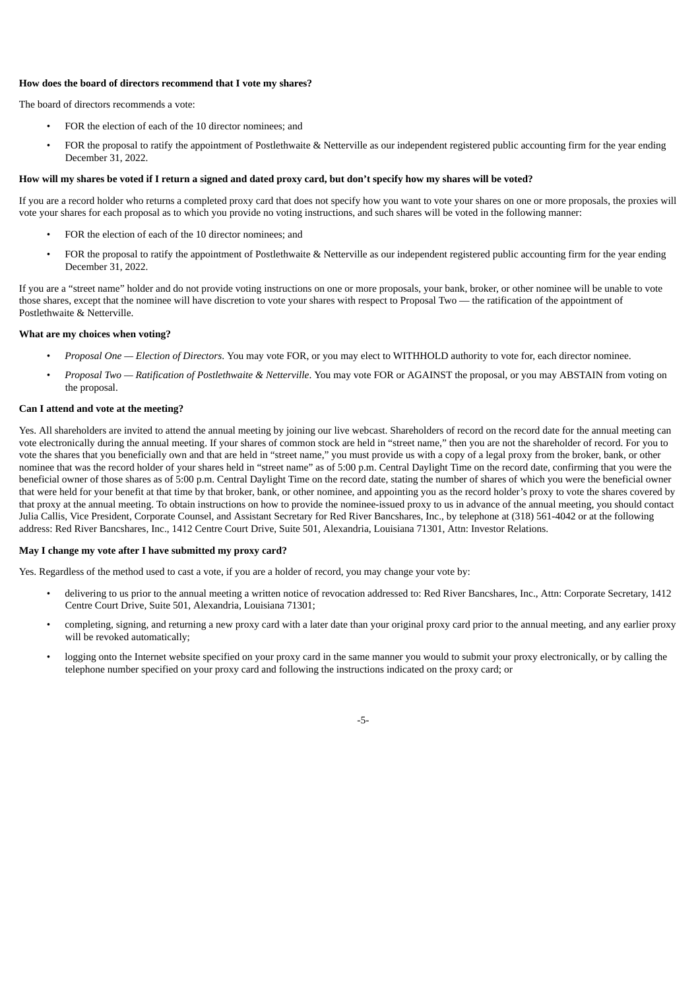# **How does the board of directors recommend that I vote my shares?**

The board of directors recommends a vote:

- FOR the election of each of the 10 director nominees; and
- FOR the proposal to ratify the appointment of Postlethwaite & Netterville as our independent registered public accounting firm for the year ending December 31, 2022.

# How will my shares be voted if I return a signed and dated proxy card, but don't specify how my shares will be voted?

If you are a record holder who returns a completed proxy card that does not specify how you want to vote your shares on one or more proposals, the proxies will vote your shares for each proposal as to which you provide no voting instructions, and such shares will be voted in the following manner:

- FOR the election of each of the 10 director nominees; and
- FOR the proposal to ratify the appointment of Postlethwaite & Netterville as our independent registered public accounting firm for the year ending December 31, 2022.

If you are a "street name" holder and do not provide voting instructions on one or more proposals, your bank, broker, or other nominee will be unable to vote those shares, except that the nominee will have discretion to vote your shares with respect to Proposal Two — the ratification of the appointment of Postlethwaite & Netterville.

# **What are my choices when voting?**

- *Proposal One — Election of Directors*. You may vote FOR, or you may elect to WITHHOLD authority to vote for, each director nominee.
- *Proposal Two — Ratification of Postlethwaite & Netterville*. You may vote FOR or AGAINST the proposal, or you may ABSTAIN from voting on the proposal.

# **Can I attend and vote at the meeting?**

Yes. All shareholders are invited to attend the annual meeting by joining our live webcast. Shareholders of record on the record date for the annual meeting can vote electronically during the annual meeting. If your shares of common stock are held in "street name," then you are not the shareholder of record. For you to vote the shares that you beneficially own and that are held in "street name," you must provide us with a copy of a legal proxy from the broker, bank, or other nominee that was the record holder of your shares held in "street name" as of 5:00 p.m. Central Daylight Time on the record date, confirming that you were the beneficial owner of those shares as of 5:00 p.m. Central Daylight Time on the record date, stating the number of shares of which you were the beneficial owner that were held for your benefit at that time by that broker, bank, or other nominee, and appointing you as the record holder's proxy to vote the shares covered by that proxy at the annual meeting. To obtain instructions on how to provide the nominee-issued proxy to us in advance of the annual meeting, you should contact Julia Callis, Vice President, Corporate Counsel, and Assistant Secretary for Red River Bancshares, Inc., by telephone at (318) 561-4042 or at the following address: Red River Bancshares, Inc., 1412 Centre Court Drive, Suite 501, Alexandria, Louisiana 71301, Attn: Investor Relations.

#### **May I change my vote after I have submitted my proxy card?**

Yes. Regardless of the method used to cast a vote, if you are a holder of record, you may change your vote by:

- delivering to us prior to the annual meeting a written notice of revocation addressed to: Red River Bancshares, Inc., Attn: Corporate Secretary, 1412 Centre Court Drive, Suite 501, Alexandria, Louisiana 71301;
- completing, signing, and returning a new proxy card with a later date than your original proxy card prior to the annual meeting, and any earlier proxy will be revoked automatically;
- logging onto the Internet website specified on your proxy card in the same manner you would to submit your proxy electronically, or by calling the telephone number specified on your proxy card and following the instructions indicated on the proxy card; or

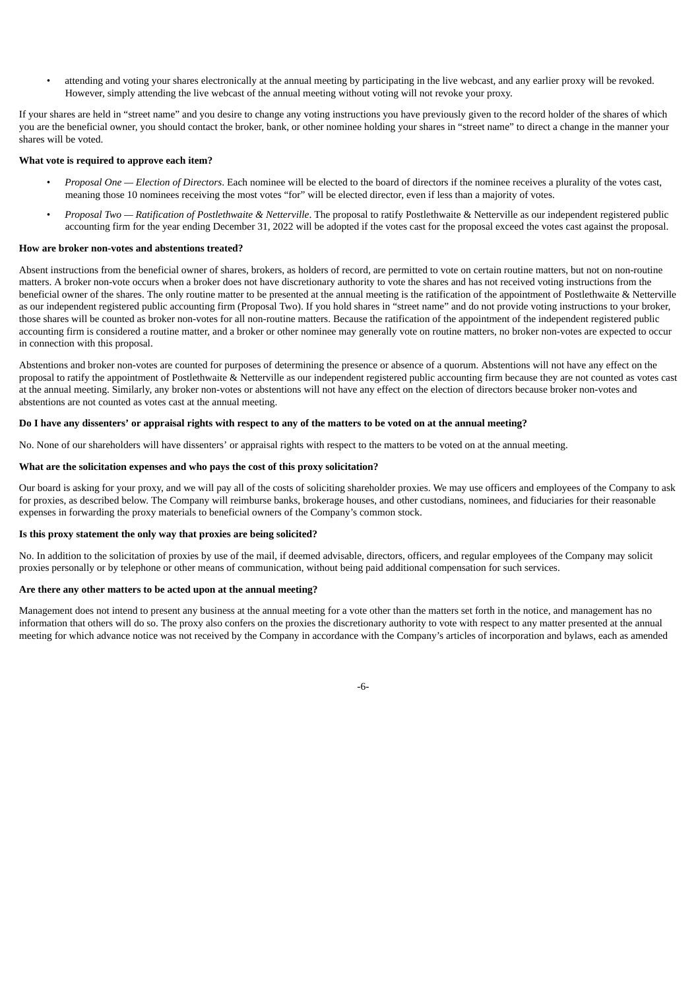• attending and voting your shares electronically at the annual meeting by participating in the live webcast, and any earlier proxy will be revoked. However, simply attending the live webcast of the annual meeting without voting will not revoke your proxy.

If your shares are held in "street name" and you desire to change any voting instructions you have previously given to the record holder of the shares of which you are the beneficial owner, you should contact the broker, bank, or other nominee holding your shares in "street name" to direct a change in the manner your shares will be voted.

# **What vote is required to approve each item?**

- *Proposal One — Election of Directors*. Each nominee will be elected to the board of directors if the nominee receives a plurality of the votes cast, meaning those 10 nominees receiving the most votes "for" will be elected director, even if less than a majority of votes.
- *Proposal Two — Ratification of Postlethwaite & Netterville*. The proposal to ratify Postlethwaite & Netterville as our independent registered public accounting firm for the year ending December 31, 2022 will be adopted if the votes cast for the proposal exceed the votes cast against the proposal.

# **How are broker non-votes and abstentions treated?**

Absent instructions from the beneficial owner of shares, brokers, as holders of record, are permitted to vote on certain routine matters, but not on non-routine matters. A broker non-vote occurs when a broker does not have discretionary authority to vote the shares and has not received voting instructions from the beneficial owner of the shares. The only routine matter to be presented at the annual meeting is the ratification of the appointment of Postlethwaite & Netterville as our independent registered public accounting firm (Proposal Two). If you hold shares in "street name" and do not provide voting instructions to your broker, those shares will be counted as broker non-votes for all non-routine matters. Because the ratification of the appointment of the independent registered public accounting firm is considered a routine matter, and a broker or other nominee may generally vote on routine matters, no broker non-votes are expected to occur in connection with this proposal.

Abstentions and broker non-votes are counted for purposes of determining the presence or absence of a quorum. Abstentions will not have any effect on the proposal to ratify the appointment of Postlethwaite & Netterville as our independent registered public accounting firm because they are not counted as votes cast at the annual meeting. Similarly, any broker non-votes or abstentions will not have any effect on the election of directors because broker non-votes and abstentions are not counted as votes cast at the annual meeting.

# Do I have any dissenters' or appraisal rights with respect to any of the matters to be voted on at the annual meeting?

No. None of our shareholders will have dissenters' or appraisal rights with respect to the matters to be voted on at the annual meeting.

#### **What are the solicitation expenses and who pays the cost of this proxy solicitation?**

Our board is asking for your proxy, and we will pay all of the costs of soliciting shareholder proxies. We may use officers and employees of the Company to ask for proxies, as described below. The Company will reimburse banks, brokerage houses, and other custodians, nominees, and fiduciaries for their reasonable expenses in forwarding the proxy materials to beneficial owners of the Company's common stock.

# **Is this proxy statement the only way that proxies are being solicited?**

No. In addition to the solicitation of proxies by use of the mail, if deemed advisable, directors, officers, and regular employees of the Company may solicit proxies personally or by telephone or other means of communication, without being paid additional compensation for such services.

#### **Are there any other matters to be acted upon at the annual meeting?**

Management does not intend to present any business at the annual meeting for a vote other than the matters set forth in the notice, and management has no information that others will do so. The proxy also confers on the proxies the discretionary authority to vote with respect to any matter presented at the annual meeting for which advance notice was not received by the Company in accordance with the Company's articles of incorporation and bylaws, each as amended

-6-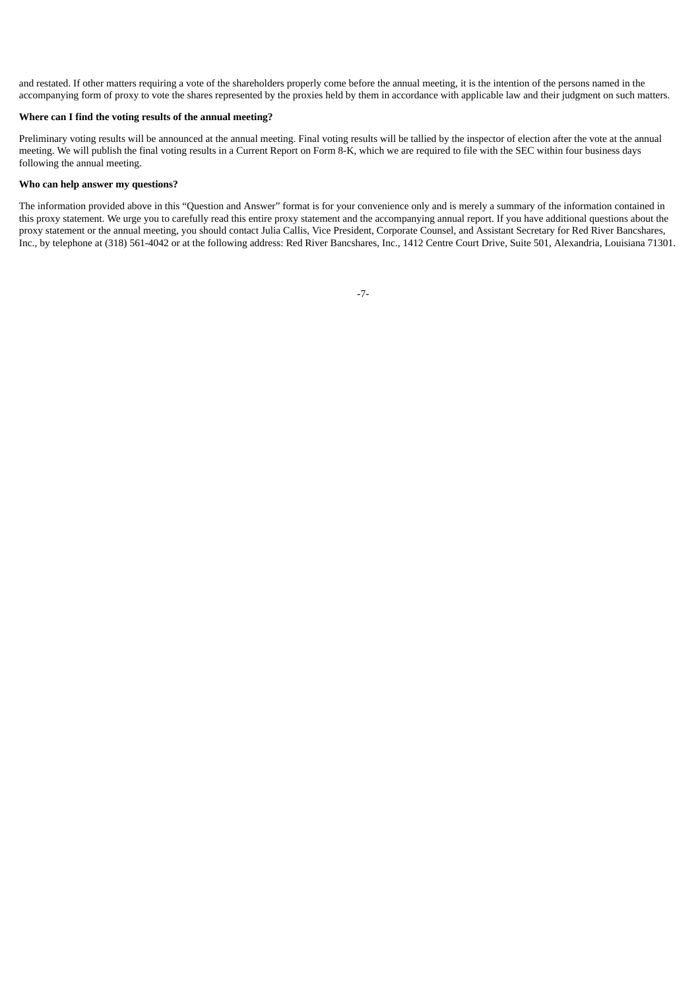and restated. If other matters requiring a vote of the shareholders properly come before the annual meeting, it is the intention of the persons named in the accompanying form of proxy to vote the shares represented by the proxies held by them in accordance with applicable law and their judgment on such matters.

# **Where can I find the voting results of the annual meeting?**

Preliminary voting results will be announced at the annual meeting. Final voting results will be tallied by the inspector of election after the vote at the annual meeting. We will publish the final voting results in a Current Report on Form 8-K, which we are required to file with the SEC within four business days following the annual meeting.

#### **Who can help answer my questions?**

<span id="page-9-0"></span>The information provided above in this "Question and Answer" format is for your convenience only and is merely a summary of the information contained in this proxy statement. We urge you to carefully read this entire proxy statement and the accompanying annual report. If you have additional questions about the proxy statement or the annual meeting, you should contact Julia Callis, Vice President, Corporate Counsel, and Assistant Secretary for Red River Bancshares, Inc., by telephone at (318) 561-4042 or at the following address: Red River Bancshares, Inc., 1412 Centre Court Drive, Suite 501, Alexandria, Louisiana 71301.

-7-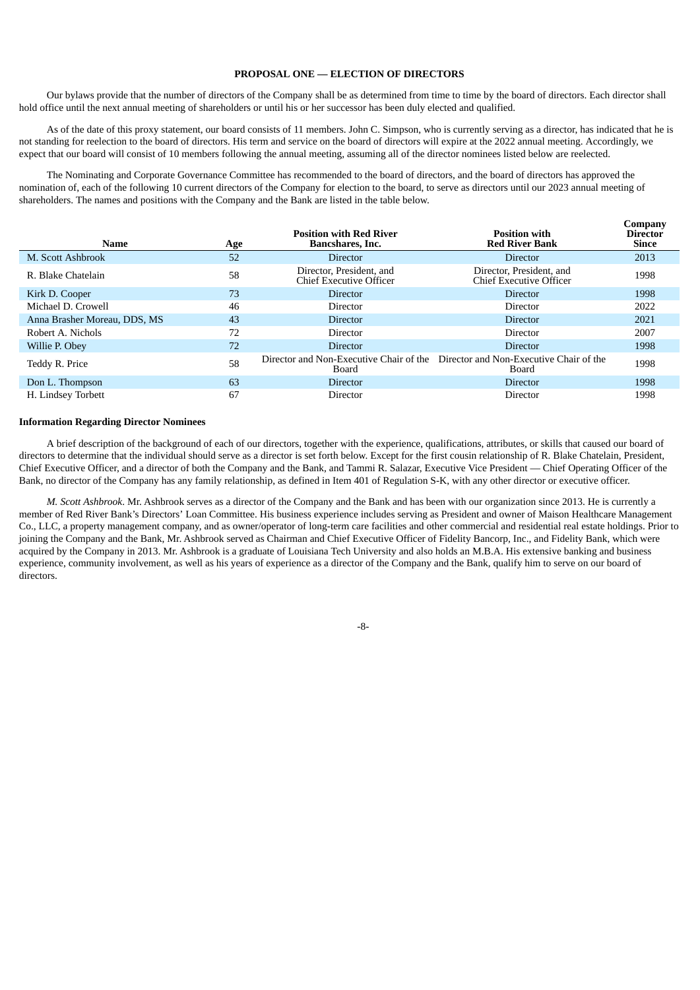# **PROPOSAL ONE — ELECTION OF DIRECTORS**

Our bylaws provide that the number of directors of the Company shall be as determined from time to time by the board of directors. Each director shall hold office until the next annual meeting of shareholders or until his or her successor has been duly elected and qualified.

As of the date of this proxy statement, our board consists of 11 members. John C. Simpson, who is currently serving as a director, has indicated that he is not standing for reelection to the board of directors. His term and service on the board of directors will expire at the 2022 annual meeting. Accordingly, we expect that our board will consist of 10 members following the annual meeting, assuming all of the director nominees listed below are reelected.

The Nominating and Corporate Governance Committee has recommended to the board of directors, and the board of directors has approved the nomination of, each of the following 10 current directors of the Company for election to the board, to serve as directors until our 2023 annual meeting of shareholders. The names and positions with the Company and the Bank are listed in the table below.

| <b>Name</b>                  | Age | <b>Position with Red River</b><br>Bancshares, Inc.  | <b>Position with</b><br><b>Red River Bank</b>                                            | Company<br>Director<br><b>Since</b> |
|------------------------------|-----|-----------------------------------------------------|------------------------------------------------------------------------------------------|-------------------------------------|
| M. Scott Ashbrook            | 52  | <b>Director</b>                                     | <b>Director</b>                                                                          | 2013                                |
| R. Blake Chatelain           | 58  | Director, President, and<br>Chief Executive Officer | Director, President, and<br>Chief Executive Officer                                      | 1998                                |
| Kirk D. Cooper               | 73  | <b>Director</b>                                     | <b>Director</b>                                                                          | 1998                                |
| Michael D. Crowell           | 46  | Director                                            | Director                                                                                 | 2022                                |
| Anna Brasher Moreau, DDS, MS | 43  | <b>Director</b>                                     | Director                                                                                 | 2021                                |
| Robert A. Nichols            | 72  | <b>Director</b>                                     | Director                                                                                 | 2007                                |
| Willie P. Obey               | 72  | <b>Director</b>                                     | Director                                                                                 | 1998                                |
| Teddy R. Price               | 58  | Board                                               | Director and Non-Executive Chair of the Director and Non-Executive Chair of the<br>Board | 1998                                |
| Don L. Thompson              | 63  | <b>Director</b>                                     | <b>Director</b>                                                                          | 1998                                |
| H. Lindsey Torbett           | 67  | Director                                            | Director                                                                                 | 1998                                |

# <span id="page-10-0"></span>**Information Regarding Director Nominees**

A brief description of the background of each of our directors, together with the experience, qualifications, attributes, or skills that caused our board of directors to determine that the individual should serve as a director is set forth below. Except for the first cousin relationship of R. Blake Chatelain, President, Chief Executive Officer, and a director of both the Company and the Bank, and Tammi R. Salazar, Executive Vice President — Chief Operating Officer of the Bank, no director of the Company has any family relationship, as defined in Item 401 of Regulation S-K, with any other director or executive officer.

*M. Scott Ashbrook*. Mr. Ashbrook serves as a director of the Company and the Bank and has been with our organization since 2013. He is currently a member of Red River Bank's Directors' Loan Committee. His business experience includes serving as President and owner of Maison Healthcare Management Co., LLC, a property management company, and as owner/operator of long-term care facilities and other commercial and residential real estate holdings. Prior to joining the Company and the Bank, Mr. Ashbrook served as Chairman and Chief Executive Officer of Fidelity Bancorp, Inc., and Fidelity Bank, which were acquired by the Company in 2013. Mr. Ashbrook is a graduate of Louisiana Tech University and also holds an M.B.A. His extensive banking and business experience, community involvement, as well as his years of experience as a director of the Company and the Bank, qualify him to serve on our board of directors.

-8-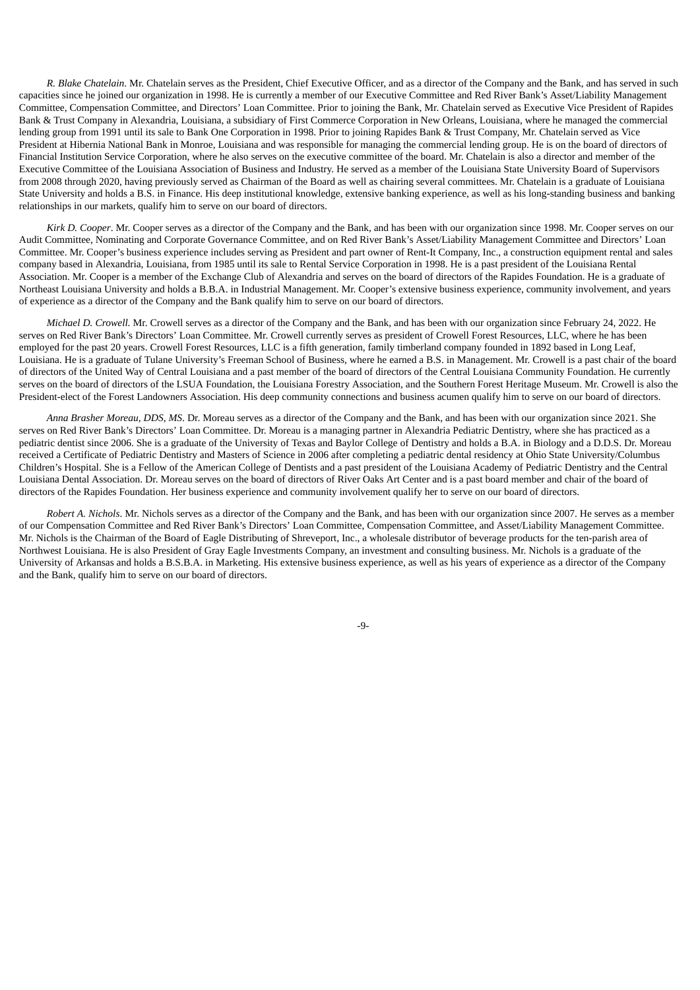*R. Blake Chatelain*. Mr. Chatelain serves as the President, Chief Executive Officer, and as a director of the Company and the Bank, and has served in such capacities since he joined our organization in 1998. He is currently a member of our Executive Committee and Red River Bank's Asset/Liability Management Committee, Compensation Committee, and Directors' Loan Committee. Prior to joining the Bank, Mr. Chatelain served as Executive Vice President of Rapides Bank & Trust Company in Alexandria, Louisiana, a subsidiary of First Commerce Corporation in New Orleans, Louisiana, where he managed the commercial lending group from 1991 until its sale to Bank One Corporation in 1998. Prior to joining Rapides Bank & Trust Company, Mr. Chatelain served as Vice President at Hibernia National Bank in Monroe, Louisiana and was responsible for managing the commercial lending group. He is on the board of directors of Financial Institution Service Corporation, where he also serves on the executive committee of the board. Mr. Chatelain is also a director and member of the Executive Committee of the Louisiana Association of Business and Industry. He served as a member of the Louisiana State University Board of Supervisors from 2008 through 2020, having previously served as Chairman of the Board as well as chairing several committees. Mr. Chatelain is a graduate of Louisiana State University and holds a B.S. in Finance. His deep institutional knowledge, extensive banking experience, as well as his long-standing business and banking relationships in our markets, qualify him to serve on our board of directors.

*Kirk D. Cooper*. Mr. Cooper serves as a director of the Company and the Bank, and has been with our organization since 1998. Mr. Cooper serves on our Audit Committee, Nominating and Corporate Governance Committee, and on Red River Bank's Asset/Liability Management Committee and Directors' Loan Committee. Mr. Cooper's business experience includes serving as President and part owner of Rent-It Company, Inc., a construction equipment rental and sales company based in Alexandria, Louisiana, from 1985 until its sale to Rental Service Corporation in 1998. He is a past president of the Louisiana Rental Association. Mr. Cooper is a member of the Exchange Club of Alexandria and serves on the board of directors of the Rapides Foundation. He is a graduate of Northeast Louisiana University and holds a B.B.A. in Industrial Management. Mr. Cooper's extensive business experience, community involvement, and years of experience as a director of the Company and the Bank qualify him to serve on our board of directors.

*Michael D. Crowell.* Mr. Crowell serves as a director of the Company and the Bank, and has been with our organization since February 24, 2022. He serves on Red River Bank's Directors' Loan Committee. Mr. Crowell currently serves as president of Crowell Forest Resources, LLC, where he has been employed for the past 20 years. Crowell Forest Resources, LLC is a fifth generation, family timberland company founded in 1892 based in Long Leaf, Louisiana. He is a graduate of Tulane University's Freeman School of Business, where he earned a B.S. in Management. Mr. Crowell is a past chair of the board of directors of the United Way of Central Louisiana and a past member of the board of directors of the Central Louisiana Community Foundation. He currently serves on the board of directors of the LSUA Foundation, the Louisiana Forestry Association, and the Southern Forest Heritage Museum. Mr. Crowell is also the President-elect of the Forest Landowners Association. His deep community connections and business acumen qualify him to serve on our board of directors.

*Anna Brasher Moreau, DDS, MS*. Dr. Moreau serves as a director of the Company and the Bank, and has been with our organization since 2021. She serves on Red River Bank's Directors' Loan Committee. Dr. Moreau is a managing partner in Alexandria Pediatric Dentistry, where she has practiced as a pediatric dentist since 2006. She is a graduate of the University of Texas and Baylor College of Dentistry and holds a B.A. in Biology and a D.D.S. Dr. Moreau received a Certificate of Pediatric Dentistry and Masters of Science in 2006 after completing a pediatric dental residency at Ohio State University/Columbus Children's Hospital. She is a Fellow of the American College of Dentists and a past president of the Louisiana Academy of Pediatric Dentistry and the Central Louisiana Dental Association. Dr. Moreau serves on the board of directors of River Oaks Art Center and is a past board member and chair of the board of directors of the Rapides Foundation. Her business experience and community involvement qualify her to serve on our board of directors.

*Robert A. Nichols*. Mr. Nichols serves as a director of the Company and the Bank, and has been with our organization since 2007. He serves as a member of our Compensation Committee and Red River Bank's Directors' Loan Committee, Compensation Committee, and Asset/Liability Management Committee. Mr. Nichols is the Chairman of the Board of Eagle Distributing of Shreveport, Inc., a wholesale distributor of beverage products for the ten-parish area of Northwest Louisiana. He is also President of Gray Eagle Investments Company, an investment and consulting business. Mr. Nichols is a graduate of the University of Arkansas and holds a B.S.B.A. in Marketing. His extensive business experience, as well as his years of experience as a director of the Company and the Bank, qualify him to serve on our board of directors.

-9-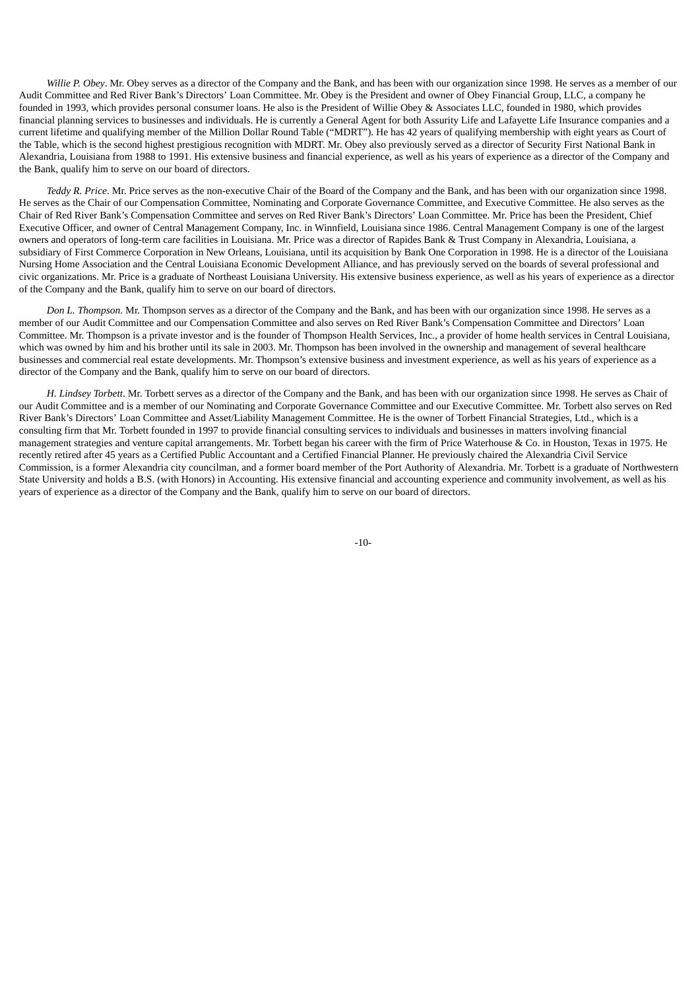*Willie P. Obey*. Mr. Obey serves as a director of the Company and the Bank, and has been with our organization since 1998. He serves as a member of our Audit Committee and Red River Bank's Directors' Loan Committee. Mr. Obey is the President and owner of Obey Financial Group, LLC, a company he founded in 1993, which provides personal consumer loans. He also is the President of Willie Obey & Associates LLC, founded in 1980, which provides financial planning services to businesses and individuals. He is currently a General Agent for both Assurity Life and Lafayette Life Insurance companies and a current lifetime and qualifying member of the Million Dollar Round Table ("MDRT"). He has 42 years of qualifying membership with eight years as Court of the Table, which is the second highest prestigious recognition with MDRT. Mr. Obey also previously served as a director of Security First National Bank in Alexandria, Louisiana from 1988 to 1991. His extensive business and financial experience, as well as his years of experience as a director of the Company and the Bank, qualify him to serve on our board of directors.

*Teddy R. Price*. Mr. Price serves as the non-executive Chair of the Board of the Company and the Bank, and has been with our organization since 1998. He serves as the Chair of our Compensation Committee, Nominating and Corporate Governance Committee, and Executive Committee. He also serves as the Chair of Red River Bank's Compensation Committee and serves on Red River Bank's Directors' Loan Committee. Mr. Price has been the President, Chief Executive Officer, and owner of Central Management Company, Inc. in Winnfield, Louisiana since 1986. Central Management Company is one of the largest owners and operators of long-term care facilities in Louisiana. Mr. Price was a director of Rapides Bank & Trust Company in Alexandria, Louisiana, a subsidiary of First Commerce Corporation in New Orleans, Louisiana, until its acquisition by Bank One Corporation in 1998. He is a director of the Louisiana Nursing Home Association and the Central Louisiana Economic Development Alliance, and has previously served on the boards of several professional and civic organizations. Mr. Price is a graduate of Northeast Louisiana University. His extensive business experience, as well as his years of experience as a director of the Company and the Bank, qualify him to serve on our board of directors.

*Don L. Thompson*. Mr. Thompson serves as a director of the Company and the Bank, and has been with our organization since 1998. He serves as a member of our Audit Committee and our Compensation Committee and also serves on Red River Bank's Compensation Committee and Directors' Loan Committee. Mr. Thompson is a private investor and is the founder of Thompson Health Services, Inc., a provider of home health services in Central Louisiana, which was owned by him and his brother until its sale in 2003. Mr. Thompson has been involved in the ownership and management of several healthcare businesses and commercial real estate developments. Mr. Thompson's extensive business and investment experience, as well as his years of experience as a director of the Company and the Bank, qualify him to serve on our board of directors.

<span id="page-12-0"></span>*H. Lindsey Torbett*. Mr. Torbett serves as a director of the Company and the Bank, and has been with our organization since 1998. He serves as Chair of our Audit Committee and is a member of our Nominating and Corporate Governance Committee and our Executive Committee. Mr. Torbett also serves on Red River Bank's Directors' Loan Committee and Asset/Liability Management Committee. He is the owner of Torbett Financial Strategies, Ltd., which is a consulting firm that Mr. Torbett founded in 1997 to provide financial consulting services to individuals and businesses in matters involving financial management strategies and venture capital arrangements. Mr. Torbett began his career with the firm of Price Waterhouse & Co. in Houston, Texas in 1975. He recently retired after 45 years as a Certified Public Accountant and a Certified Financial Planner. He previously chaired the Alexandria Civil Service Commission, is a former Alexandria city councilman, and a former board member of the Port Authority of Alexandria. Mr. Torbett is a graduate of Northwestern State University and holds a B.S. (with Honors) in Accounting. His extensive financial and accounting experience and community involvement, as well as his years of experience as a director of the Company and the Bank, qualify him to serve on our board of directors.

-10-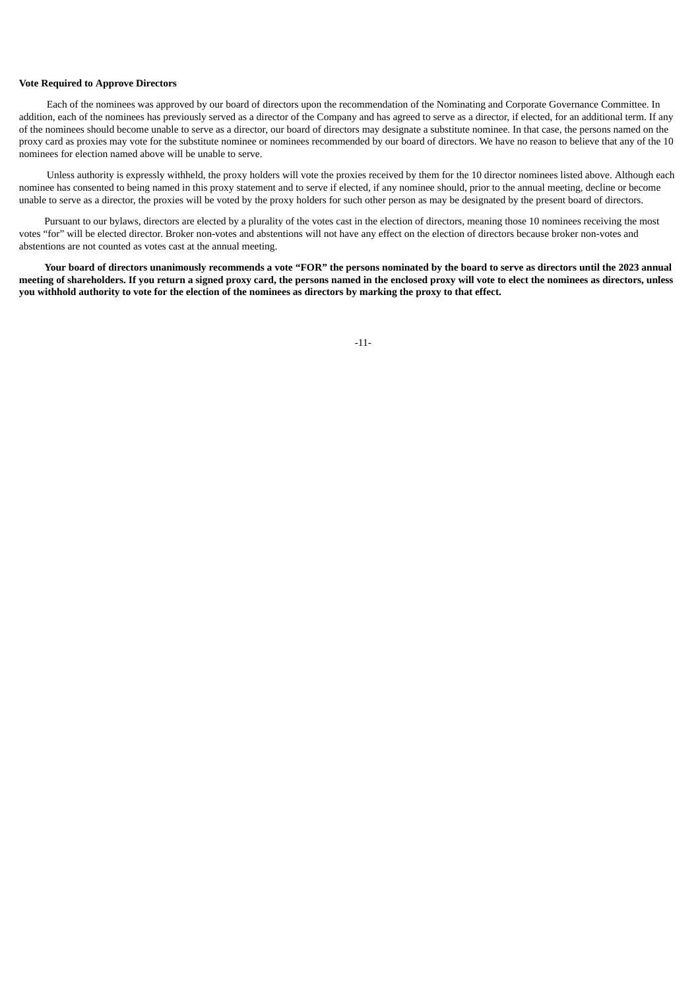# **Vote Required to Approve Directors**

Each of the nominees was approved by our board of directors upon the recommendation of the Nominating and Corporate Governance Committee. In addition, each of the nominees has previously served as a director of the Company and has agreed to serve as a director, if elected, for an additional term. If any of the nominees should become unable to serve as a director, our board of directors may designate a substitute nominee. In that case, the persons named on the proxy card as proxies may vote for the substitute nominee or nominees recommended by our board of directors. We have no reason to believe that any of the 10 nominees for election named above will be unable to serve.

Unless authority is expressly withheld, the proxy holders will vote the proxies received by them for the 10 director nominees listed above. Although each nominee has consented to being named in this proxy statement and to serve if elected, if any nominee should, prior to the annual meeting, decline or become unable to serve as a director, the proxies will be voted by the proxy holders for such other person as may be designated by the present board of directors.

Pursuant to our bylaws, directors are elected by a plurality of the votes cast in the election of directors, meaning those 10 nominees receiving the most votes "for" will be elected director. Broker non-votes and abstentions will not have any effect on the election of directors because broker non-votes and abstentions are not counted as votes cast at the annual meeting.

<span id="page-13-0"></span>Your board of directors unanimously recommends a vote "FOR" the persons nominated by the board to serve as directors until the 2023 annual meeting of shareholders. If you return a signed proxy card, the persons named in the enclosed proxy will vote to elect the nominees as directors, unless you withhold authority to vote for the election of the nominees as directors by marking the proxy to that effect.

-11-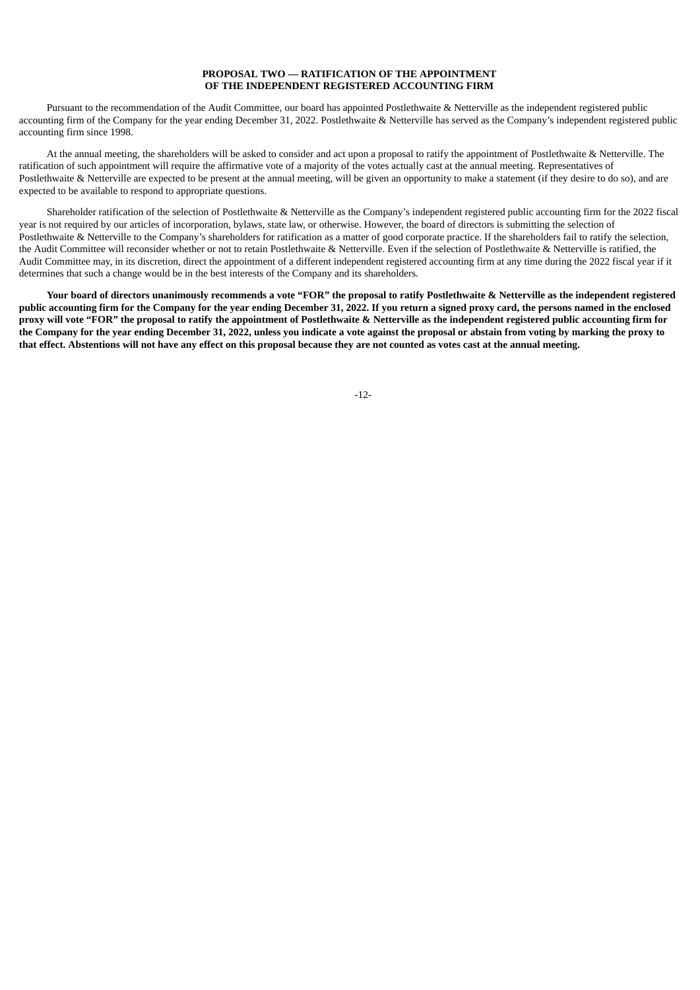# **PROPOSAL TWO — RATIFICATION OF THE APPOINTMENT OF THE INDEPENDENT REGISTERED ACCOUNTING FIRM**

Pursuant to the recommendation of the Audit Committee, our board has appointed Postlethwaite & Netterville as the independent registered public accounting firm of the Company for the year ending December 31, 2022. Postlethwaite & Netterville has served as the Company's independent registered public accounting firm since 1998.

At the annual meeting, the shareholders will be asked to consider and act upon a proposal to ratify the appointment of Postlethwaite & Netterville. The ratification of such appointment will require the affirmative vote of a majority of the votes actually cast at the annual meeting. Representatives of Postlethwaite & Netterville are expected to be present at the annual meeting, will be given an opportunity to make a statement (if they desire to do so), and are expected to be available to respond to appropriate questions.

Shareholder ratification of the selection of Postlethwaite & Netterville as the Company's independent registered public accounting firm for the 2022 fiscal year is not required by our articles of incorporation, bylaws, state law, or otherwise. However, the board of directors is submitting the selection of Postlethwaite & Netterville to the Company's shareholders for ratification as a matter of good corporate practice. If the shareholders fail to ratify the selection, the Audit Committee will reconsider whether or not to retain Postlethwaite & Netterville. Even if the selection of Postlethwaite & Netterville is ratified, the Audit Committee may, in its discretion, direct the appointment of a different independent registered accounting firm at any time during the 2022 fiscal year if it determines that such a change would be in the best interests of the Company and its shareholders.

<span id="page-14-0"></span>Your board of directors unanimously recommends a vote "FOR" the proposal to ratify Postlethwaite & Netterville as the independent registered public accounting firm for the Company for the year ending December 31, 2022. If you return a signed proxy card, the persons named in the enclosed proxy will vote "FOR" the proposal to ratify the appointment of Postlethwaite & Netterville as the independent registered public accounting firm for the Company for the year ending December 31, 2022, unless you indicate a vote against the proposal or abstain from voting by marking the proxy to that effect. Abstentions will not have any effect on this proposal because they are not counted as votes cast at the annual meeting.

-12-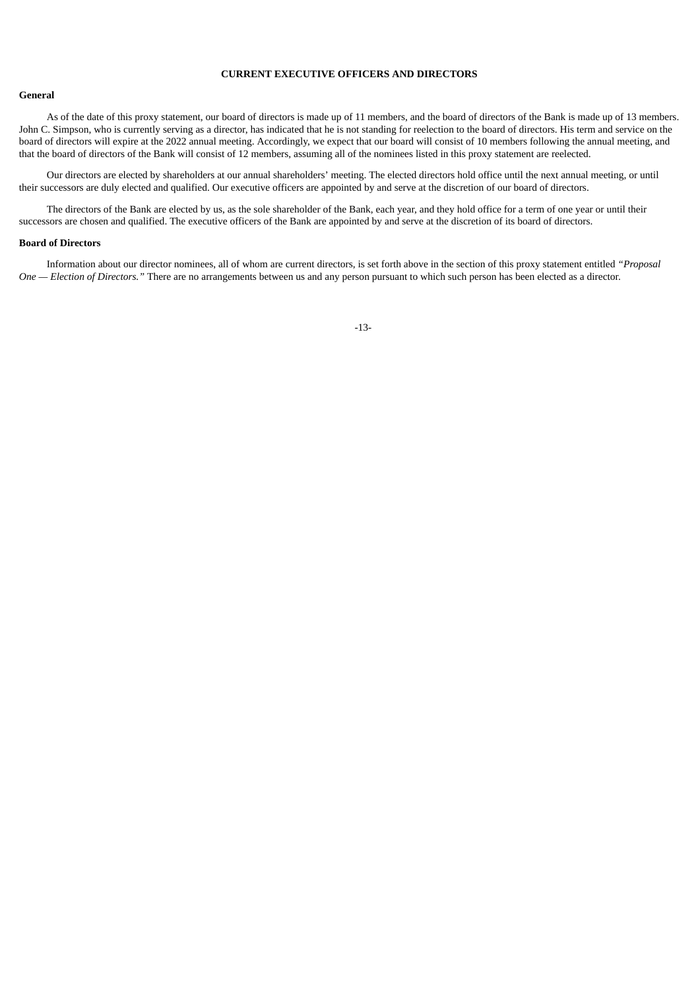# **CURRENT EXECUTIVE OFFICERS AND DIRECTORS**

#### <span id="page-15-0"></span>**General**

As of the date of this proxy statement, our board of directors is made up of 11 members, and the board of directors of the Bank is made up of 13 members. John C. Simpson, who is currently serving as a director, has indicated that he is not standing for reelection to the board of directors. His term and service on the board of directors will expire at the 2022 annual meeting. Accordingly, we expect that our board will consist of 10 members following the annual meeting, and that the board of directors of the Bank will consist of 12 members, assuming all of the nominees listed in this proxy statement are reelected.

Our directors are elected by shareholders at our annual shareholders' meeting. The elected directors hold office until the next annual meeting, or until their successors are duly elected and qualified. Our executive officers are appointed by and serve at the discretion of our board of directors.

The directors of the Bank are elected by us, as the sole shareholder of the Bank, each year, and they hold office for a term of one year or until their successors are chosen and qualified. The executive officers of the Bank are appointed by and serve at the discretion of its board of directors.

# <span id="page-15-1"></span>**Board of Directors**

<span id="page-15-2"></span>Information about our director nominees, all of whom are current directors, is set forth above in the section of this proxy statement entitled *"Proposal One — Election of Directors."* There are no arrangements between us and any person pursuant to which such person has been elected as a director.

-13-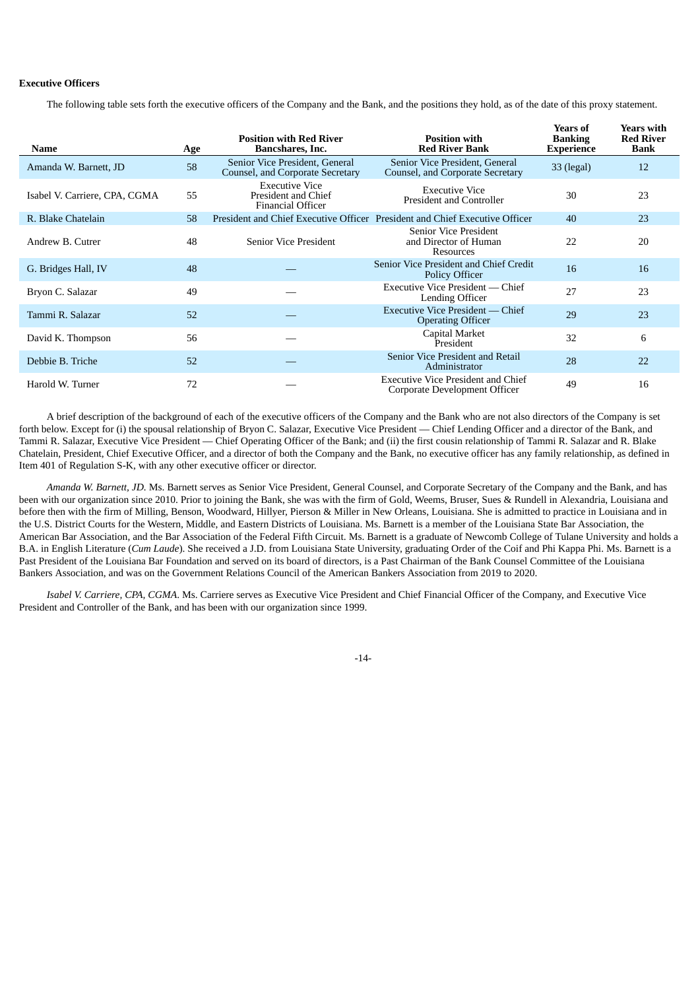# **Executive Officers**

The following table sets forth the executive officers of the Company and the Bank, and the positions they hold, as of the date of this proxy statement.

| Name                          | Age | <b>Position with Red River</b><br>Bancshares, Inc.                       | <b>Position with</b><br><b>Red River Bank</b>                               | Years of<br><b>Banking</b><br><b>Experience</b> | Years with<br><b>Red River</b><br>Bank |
|-------------------------------|-----|--------------------------------------------------------------------------|-----------------------------------------------------------------------------|-------------------------------------------------|----------------------------------------|
| Amanda W. Barnett, JD         | 58  | Senior Vice President, General<br>Counsel, and Corporate Secretary       | Senior Vice President, General<br>Counsel, and Corporate Secretary          | 33 (legal)                                      | 12                                     |
| Isabel V. Carriere, CPA, CGMA | 55  | <b>Executive Vice</b><br>President and Chief<br><b>Financial Officer</b> | <b>Executive Vice</b><br>President and Controller                           | 30                                              | 23                                     |
| R. Blake Chatelain            | 58  |                                                                          | President and Chief Executive Officer President and Chief Executive Officer | 40                                              | 23                                     |
| Andrew B. Cutrer              | 48  | <b>Senior Vice President</b>                                             | <b>Senior Vice President</b><br>and Director of Human<br>Resources          | 22                                              | 20                                     |
| G. Bridges Hall, IV           | 48  |                                                                          | Senior Vice President and Chief Credit<br><b>Policy Officer</b>             | 16                                              | 16                                     |
| Bryon C. Salazar              | 49  |                                                                          | Executive Vice President — Chief<br>Lending Officer                         | 27                                              | 23                                     |
| Tammi R. Salazar              | 52  |                                                                          | Executive Vice President — Chief<br><b>Operating Officer</b>                | 29                                              | 23                                     |
| David K. Thompson             | 56  |                                                                          | Capital Market<br>President                                                 | 32                                              | 6                                      |
| Debbie B. Triche              | 52  |                                                                          | Senior Vice President and Retail<br>Administrator                           | 28                                              | 22                                     |
| Harold W. Turner              | 72  |                                                                          | Executive Vice President and Chief<br>Corporate Development Officer         | 49                                              | 16                                     |

A brief description of the background of each of the executive officers of the Company and the Bank who are not also directors of the Company is set forth below. Except for (i) the spousal relationship of Bryon C. Salazar, Executive Vice President — Chief Lending Officer and a director of the Bank, and Tammi R. Salazar, Executive Vice President — Chief Operating Officer of the Bank; and (ii) the first cousin relationship of Tammi R. Salazar and R. Blake Chatelain, President, Chief Executive Officer, and a director of both the Company and the Bank, no executive officer has any family relationship, as defined in Item 401 of Regulation S-K, with any other executive officer or director.

*Amanda W. Barnett, JD.* Ms. Barnett serves as Senior Vice President, General Counsel, and Corporate Secretary of the Company and the Bank, and has been with our organization since 2010. Prior to joining the Bank, she was with the firm of Gold, Weems, Bruser, Sues & Rundell in Alexandria, Louisiana and before then with the firm of Milling, Benson, Woodward, Hillyer, Pierson & Miller in New Orleans, Louisiana. She is admitted to practice in Louisiana and in the U.S. District Courts for the Western, Middle, and Eastern Districts of Louisiana. Ms. Barnett is a member of the Louisiana State Bar Association, the American Bar Association, and the Bar Association of the Federal Fifth Circuit. Ms. Barnett is a graduate of Newcomb College of Tulane University and holds a B.A. in English Literature (*Cum Laude*). She received a J.D. from Louisiana State University, graduating Order of the Coif and Phi Kappa Phi. Ms. Barnett is a Past President of the Louisiana Bar Foundation and served on its board of directors, is a Past Chairman of the Bank Counsel Committee of the Louisiana Bankers Association, and was on the Government Relations Council of the American Bankers Association from 2019 to 2020.

*Isabel V. Carriere, CPA, CGMA*. Ms. Carriere serves as Executive Vice President and Chief Financial Officer of the Company, and Executive Vice President and Controller of the Bank, and has been with our organization since 1999.

-14-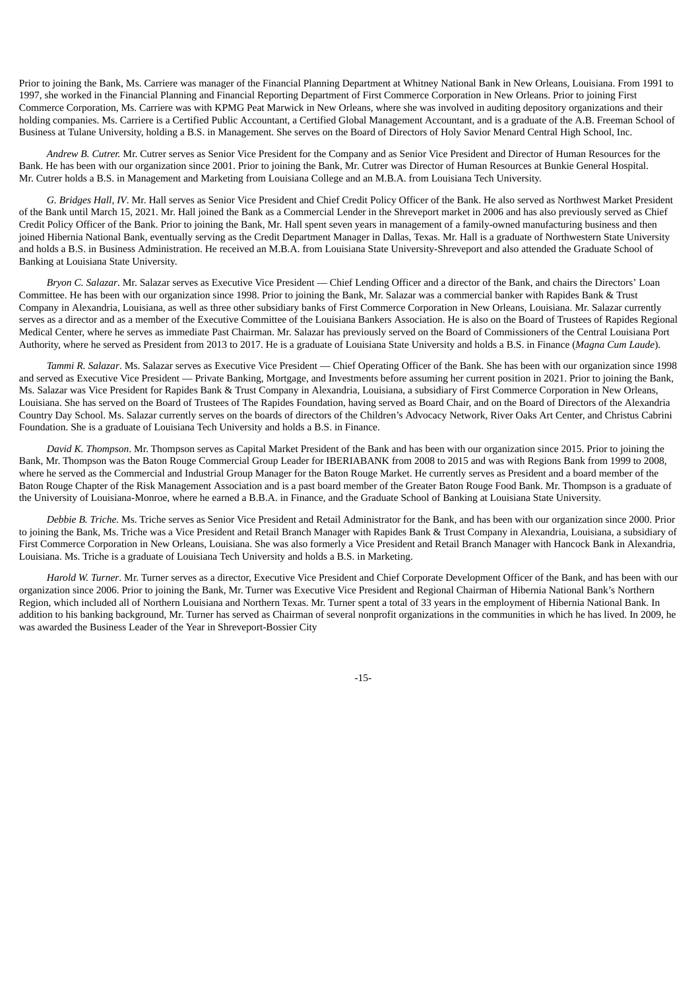Prior to joining the Bank, Ms. Carriere was manager of the Financial Planning Department at Whitney National Bank in New Orleans, Louisiana. From 1991 to 1997, she worked in the Financial Planning and Financial Reporting Department of First Commerce Corporation in New Orleans. Prior to joining First Commerce Corporation, Ms. Carriere was with KPMG Peat Marwick in New Orleans, where she was involved in auditing depository organizations and their holding companies. Ms. Carriere is a Certified Public Accountant, a Certified Global Management Accountant, and is a graduate of the A.B. Freeman School of Business at Tulane University, holding a B.S. in Management. She serves on the Board of Directors of Holy Savior Menard Central High School, Inc.

*Andrew B. Cutrer.* Mr. Cutrer serves as Senior Vice President for the Company and as Senior Vice President and Director of Human Resources for the Bank. He has been with our organization since 2001. Prior to joining the Bank, Mr. Cutrer was Director of Human Resources at Bunkie General Hospital. Mr. Cutrer holds a B.S. in Management and Marketing from Louisiana College and an M.B.A. from Louisiana Tech University.

*G. Bridges Hall, IV*. Mr. Hall serves as Senior Vice President and Chief Credit Policy Officer of the Bank. He also served as Northwest Market President of the Bank until March 15, 2021. Mr. Hall joined the Bank as a Commercial Lender in the Shreveport market in 2006 and has also previously served as Chief Credit Policy Officer of the Bank. Prior to joining the Bank, Mr. Hall spent seven years in management of a family-owned manufacturing business and then joined Hibernia National Bank, eventually serving as the Credit Department Manager in Dallas, Texas. Mr. Hall is a graduate of Northwestern State University and holds a B.S. in Business Administration. He received an M.B.A. from Louisiana State University-Shreveport and also attended the Graduate School of Banking at Louisiana State University.

*Bryon C. Salazar*. Mr. Salazar serves as Executive Vice President — Chief Lending Officer and a director of the Bank, and chairs the Directors' Loan Committee. He has been with our organization since 1998. Prior to joining the Bank, Mr. Salazar was a commercial banker with Rapides Bank & Trust Company in Alexandria, Louisiana, as well as three other subsidiary banks of First Commerce Corporation in New Orleans, Louisiana. Mr. Salazar currently serves as a director and as a member of the Executive Committee of the Louisiana Bankers Association. He is also on the Board of Trustees of Rapides Regional Medical Center, where he serves as immediate Past Chairman. Mr. Salazar has previously served on the Board of Commissioners of the Central Louisiana Port Authority, where he served as President from 2013 to 2017. He is a graduate of Louisiana State University and holds a B.S. in Finance (*Magna Cum Laude*).

*Tammi R. Salazar*. Ms. Salazar serves as Executive Vice President — Chief Operating Officer of the Bank. She has been with our organization since 1998 and served as Executive Vice President — Private Banking, Mortgage, and Investments before assuming her current position in 2021. Prior to joining the Bank, Ms. Salazar was Vice President for Rapides Bank & Trust Company in Alexandria, Louisiana, a subsidiary of First Commerce Corporation in New Orleans, Louisiana. She has served on the Board of Trustees of The Rapides Foundation, having served as Board Chair, and on the Board of Directors of the Alexandria Country Day School. Ms. Salazar currently serves on the boards of directors of the Children's Advocacy Network, River Oaks Art Center, and Christus Cabrini Foundation. She is a graduate of Louisiana Tech University and holds a B.S. in Finance.

*David K. Thompson*. Mr. Thompson serves as Capital Market President of the Bank and has been with our organization since 2015. Prior to joining the Bank, Mr. Thompson was the Baton Rouge Commercial Group Leader for IBERIABANK from 2008 to 2015 and was with Regions Bank from 1999 to 2008, where he served as the Commercial and Industrial Group Manager for the Baton Rouge Market. He currently serves as President and a board member of the Baton Rouge Chapter of the Risk Management Association and is a past board member of the Greater Baton Rouge Food Bank. Mr. Thompson is a graduate of the University of Louisiana-Monroe, where he earned a B.B.A. in Finance, and the Graduate School of Banking at Louisiana State University.

*Debbie B. Triche.* Ms. Triche serves as Senior Vice President and Retail Administrator for the Bank, and has been with our organization since 2000. Prior to joining the Bank, Ms. Triche was a Vice President and Retail Branch Manager with Rapides Bank & Trust Company in Alexandria, Louisiana, a subsidiary of First Commerce Corporation in New Orleans, Louisiana. She was also formerly a Vice President and Retail Branch Manager with Hancock Bank in Alexandria, Louisiana. Ms. Triche is a graduate of Louisiana Tech University and holds a B.S. in Marketing.

*Harold W. Turner*. Mr. Turner serves as a director, Executive Vice President and Chief Corporate Development Officer of the Bank, and has been with our organization since 2006. Prior to joining the Bank, Mr. Turner was Executive Vice President and Regional Chairman of Hibernia National Bank's Northern Region, which included all of Northern Louisiana and Northern Texas. Mr. Turner spent a total of 33 years in the employment of Hibernia National Bank. In addition to his banking background, Mr. Turner has served as Chairman of several nonprofit organizations in the communities in which he has lived. In 2009, he was awarded the Business Leader of the Year in Shreveport-Bossier City

-15-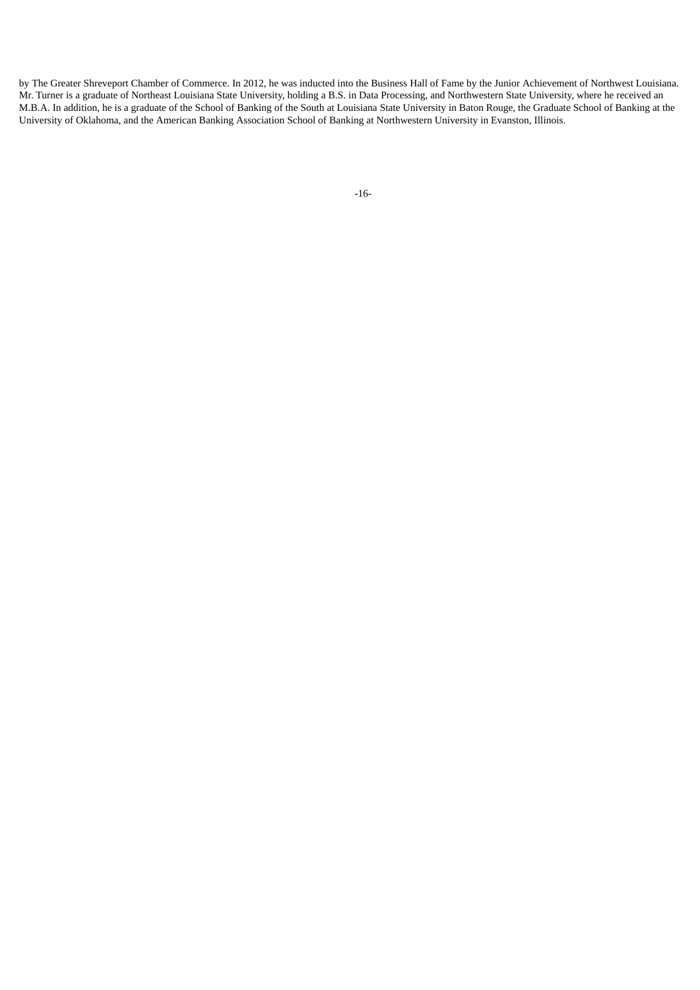<span id="page-18-0"></span>by The Greater Shreveport Chamber of Commerce. In 2012, he was inducted into the Business Hall of Fame by the Junior Achievement of Northwest Louisiana. Mr. Turner is a graduate of Northeast Louisiana State University, holding a B.S. in Data Processing, and Northwestern State University, where he received an M.B.A. In addition, he is a graduate of the School of Banking of the South at Louisiana State University in Baton Rouge, the Graduate School of Banking at the University of Oklahoma, and the American Banking Association School of Banking at Northwestern University in Evanston, Illinois.

```
-16-
```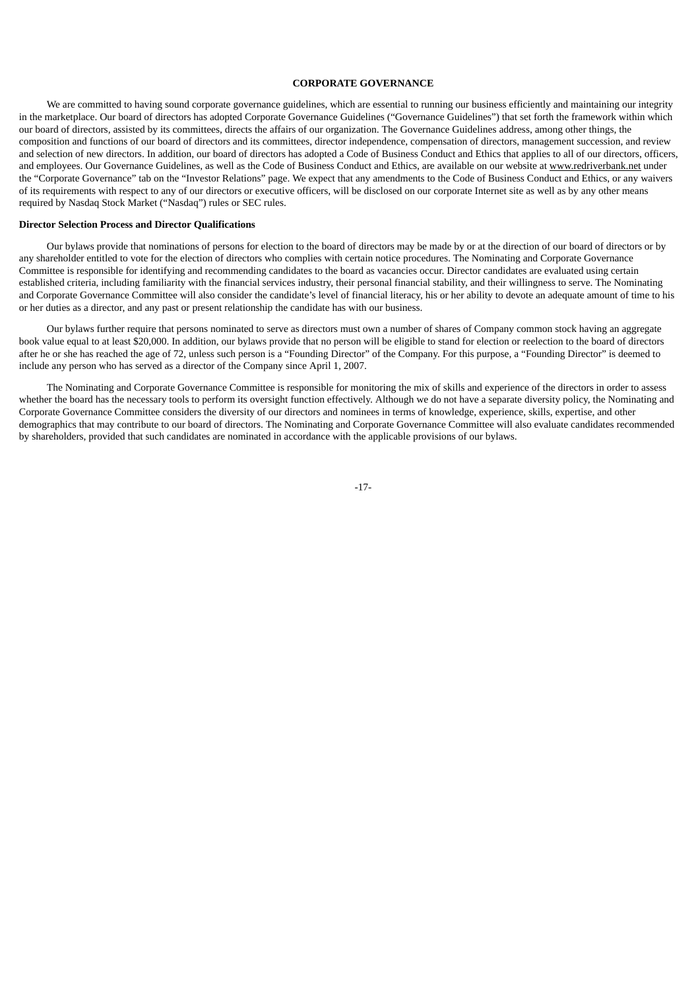# **CORPORATE GOVERNANCE**

We are committed to having sound corporate governance guidelines, which are essential to running our business efficiently and maintaining our integrity in the marketplace. Our board of directors has adopted Corporate Governance Guidelines ("Governance Guidelines") that set forth the framework within which our board of directors, assisted by its committees, directs the affairs of our organization. The Governance Guidelines address, among other things, the composition and functions of our board of directors and its committees, director independence, compensation of directors, management succession, and review and selection of new directors. In addition, our board of directors has adopted a Code of Business Conduct and Ethics that applies to all of our directors, officers, and employees. Our Governance Guidelines, as well as the Code of Business Conduct and Ethics, are available on our website at www.redriverbank.net under the "Corporate Governance" tab on the "Investor Relations" page. We expect that any amendments to the Code of Business Conduct and Ethics, or any waivers of its requirements with respect to any of our directors or executive officers, will be disclosed on our corporate Internet site as well as by any other means required by Nasdaq Stock Market ("Nasdaq") rules or SEC rules.

### <span id="page-19-0"></span>**Director Selection Process and Director Qualifications**

Our bylaws provide that nominations of persons for election to the board of directors may be made by or at the direction of our board of directors or by any shareholder entitled to vote for the election of directors who complies with certain notice procedures. The Nominating and Corporate Governance Committee is responsible for identifying and recommending candidates to the board as vacancies occur. Director candidates are evaluated using certain established criteria, including familiarity with the financial services industry, their personal financial stability, and their willingness to serve. The Nominating and Corporate Governance Committee will also consider the candidate's level of financial literacy, his or her ability to devote an adequate amount of time to his or her duties as a director, and any past or present relationship the candidate has with our business.

Our bylaws further require that persons nominated to serve as directors must own a number of shares of Company common stock having an aggregate book value equal to at least \$20,000. In addition, our bylaws provide that no person will be eligible to stand for election or reelection to the board of directors after he or she has reached the age of 72, unless such person is a "Founding Director" of the Company. For this purpose, a "Founding Director" is deemed to include any person who has served as a director of the Company since April 1, 2007.

<span id="page-19-1"></span>The Nominating and Corporate Governance Committee is responsible for monitoring the mix of skills and experience of the directors in order to assess whether the board has the necessary tools to perform its oversight function effectively. Although we do not have a separate diversity policy, the Nominating and Corporate Governance Committee considers the diversity of our directors and nominees in terms of knowledge, experience, skills, expertise, and other demographics that may contribute to our board of directors. The Nominating and Corporate Governance Committee will also evaluate candidates recommended by shareholders, provided that such candidates are nominated in accordance with the applicable provisions of our bylaws.

-17-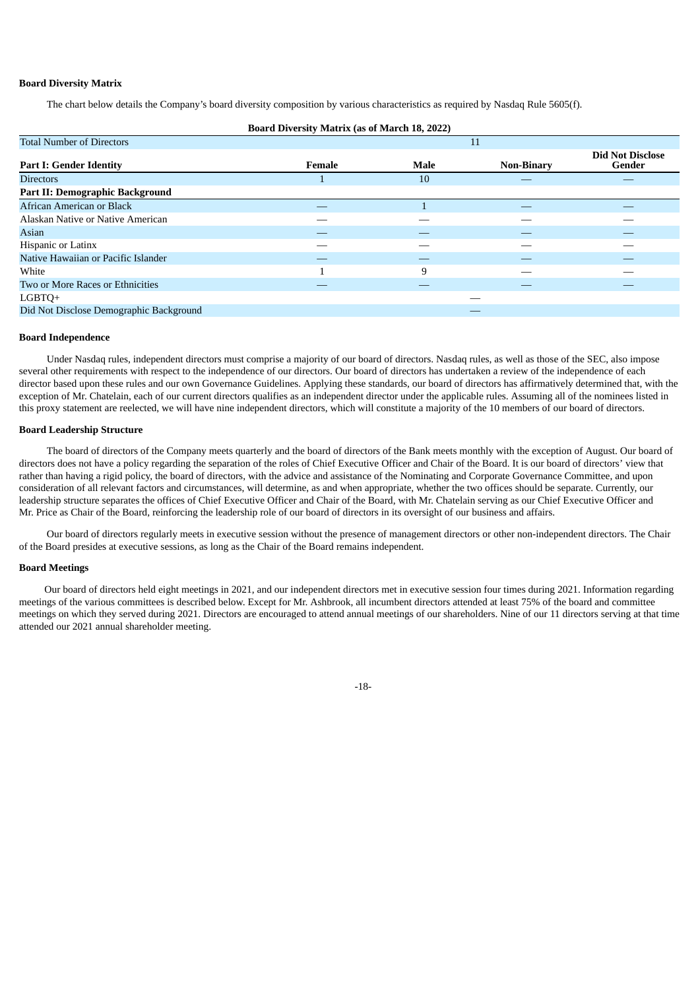# **Board Diversity Matrix**

The chart below details the Company's board diversity composition by various characteristics as required by Nasdaq Rule 5605(f).

| <b>Board Diversity Matrix (as of March 18, 2022)</b> |        |      |                   |                                   |  |  |
|------------------------------------------------------|--------|------|-------------------|-----------------------------------|--|--|
| <b>Total Number of Directors</b>                     |        |      | 11                |                                   |  |  |
| <b>Part I: Gender Identity</b>                       | Female | Male | <b>Non-Binary</b> | <b>Did Not Disclose</b><br>Gender |  |  |
| <b>Directors</b>                                     | ш      | 10   |                   |                                   |  |  |
| Part II: Demographic Background                      |        |      |                   |                                   |  |  |
| African American or Black                            | --     |      | $\sim$            |                                   |  |  |
| Alaskan Native or Native American                    |        |      |                   |                                   |  |  |
| Asian                                                |        |      |                   |                                   |  |  |
| Hispanic or Latinx                                   |        |      |                   |                                   |  |  |
| Native Hawaiian or Pacific Islander                  |        |      |                   |                                   |  |  |
| White                                                |        | 9    |                   |                                   |  |  |
| Two or More Races or Ethnicities                     |        |      |                   |                                   |  |  |
| LGBTQ+                                               |        |      |                   |                                   |  |  |
| Did Not Disclose Demographic Background              |        |      |                   |                                   |  |  |

#### <span id="page-20-0"></span>**Board Independence**

Under Nasdaq rules, independent directors must comprise a majority of our board of directors. Nasdaq rules, as well as those of the SEC, also impose several other requirements with respect to the independence of our directors. Our board of directors has undertaken a review of the independence of each director based upon these rules and our own Governance Guidelines. Applying these standards, our board of directors has affirmatively determined that, with the exception of Mr. Chatelain, each of our current directors qualifies as an independent director under the applicable rules. Assuming all of the nominees listed in this proxy statement are reelected, we will have nine independent directors, which will constitute a majority of the 10 members of our board of directors.

# <span id="page-20-1"></span>**Board Leadership Structure**

The board of directors of the Company meets quarterly and the board of directors of the Bank meets monthly with the exception of August. Our board of directors does not have a policy regarding the separation of the roles of Chief Executive Officer and Chair of the Board. It is our board of directors' view that rather than having a rigid policy, the board of directors, with the advice and assistance of the Nominating and Corporate Governance Committee, and upon consideration of all relevant factors and circumstances, will determine, as and when appropriate, whether the two offices should be separate. Currently, our leadership structure separates the offices of Chief Executive Officer and Chair of the Board, with Mr. Chatelain serving as our Chief Executive Officer and Mr. Price as Chair of the Board, reinforcing the leadership role of our board of directors in its oversight of our business and affairs.

Our board of directors regularly meets in executive session without the presence of management directors or other non-independent directors. The Chair of the Board presides at executive sessions, as long as the Chair of the Board remains independent.

#### <span id="page-20-2"></span>**Board Meetings**

<span id="page-20-3"></span>Our board of directors held eight meetings in 2021, and our independent directors met in executive session four times during 2021. Information regarding meetings of the various committees is described below. Except for Mr. Ashbrook, all incumbent directors attended at least 75% of the board and committee meetings on which they served during 2021. Directors are encouraged to attend annual meetings of our shareholders. Nine of our 11 directors serving at that time attended our 2021 annual shareholder meeting.

-18-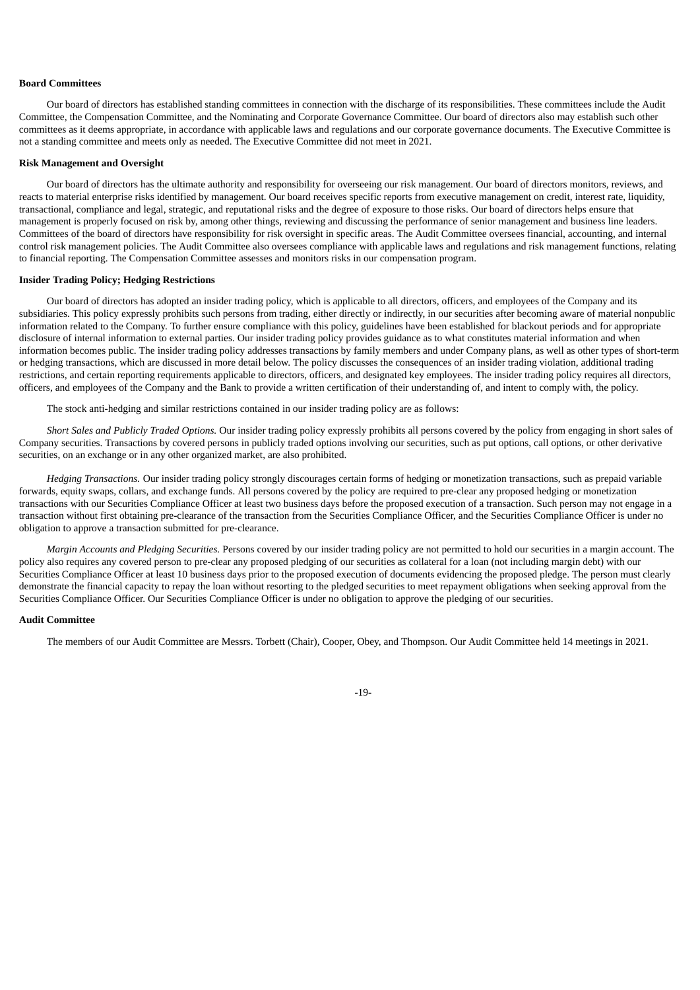# **Board Committees**

Our board of directors has established standing committees in connection with the discharge of its responsibilities. These committees include the Audit Committee, the Compensation Committee, and the Nominating and Corporate Governance Committee. Our board of directors also may establish such other committees as it deems appropriate, in accordance with applicable laws and regulations and our corporate governance documents. The Executive Committee is not a standing committee and meets only as needed. The Executive Committee did not meet in 2021.

#### <span id="page-21-0"></span>**Risk Management and Oversight**

Our board of directors has the ultimate authority and responsibility for overseeing our risk management. Our board of directors monitors, reviews, and reacts to material enterprise risks identified by management. Our board receives specific reports from executive management on credit, interest rate, liquidity, transactional, compliance and legal, strategic, and reputational risks and the degree of exposure to those risks. Our board of directors helps ensure that management is properly focused on risk by, among other things, reviewing and discussing the performance of senior management and business line leaders. Committees of the board of directors have responsibility for risk oversight in specific areas. The Audit Committee oversees financial, accounting, and internal control risk management policies. The Audit Committee also oversees compliance with applicable laws and regulations and risk management functions, relating to financial reporting. The Compensation Committee assesses and monitors risks in our compensation program.

#### <span id="page-21-1"></span>**Insider Trading Policy; Hedging Restrictions**

Our board of directors has adopted an insider trading policy, which is applicable to all directors, officers, and employees of the Company and its subsidiaries. This policy expressly prohibits such persons from trading, either directly or indirectly, in our securities after becoming aware of material nonpublic information related to the Company. To further ensure compliance with this policy, guidelines have been established for blackout periods and for appropriate disclosure of internal information to external parties. Our insider trading policy provides guidance as to what constitutes material information and when information becomes public. The insider trading policy addresses transactions by family members and under Company plans, as well as other types of short-term or hedging transactions, which are discussed in more detail below. The policy discusses the consequences of an insider trading violation, additional trading restrictions, and certain reporting requirements applicable to directors, officers, and designated key employees. The insider trading policy requires all directors, officers, and employees of the Company and the Bank to provide a written certification of their understanding of, and intent to comply with, the policy.

The stock anti-hedging and similar restrictions contained in our insider trading policy are as follows:

*Short Sales and Publicly Traded Options.* Our insider trading policy expressly prohibits all persons covered by the policy from engaging in short sales of Company securities. Transactions by covered persons in publicly traded options involving our securities, such as put options, call options, or other derivative securities, on an exchange or in any other organized market, are also prohibited.

*Hedging Transactions.* Our insider trading policy strongly discourages certain forms of hedging or monetization transactions, such as prepaid variable forwards, equity swaps, collars, and exchange funds. All persons covered by the policy are required to pre-clear any proposed hedging or monetization transactions with our Securities Compliance Officer at least two business days before the proposed execution of a transaction. Such person may not engage in a transaction without first obtaining pre-clearance of the transaction from the Securities Compliance Officer, and the Securities Compliance Officer is under no obligation to approve a transaction submitted for pre-clearance.

*Margin Accounts and Pledging Securities.* Persons covered by our insider trading policy are not permitted to hold our securities in a margin account. The policy also requires any covered person to pre-clear any proposed pledging of our securities as collateral for a loan (not including margin debt) with our Securities Compliance Officer at least 10 business days prior to the proposed execution of documents evidencing the proposed pledge. The person must clearly demonstrate the financial capacity to repay the loan without resorting to the pledged securities to meet repayment obligations when seeking approval from the Securities Compliance Officer. Our Securities Compliance Officer is under no obligation to approve the pledging of our securities.

#### <span id="page-21-2"></span>**Audit Committee**

The members of our Audit Committee are Messrs. Torbett (Chair), Cooper, Obey, and Thompson. Our Audit Committee held 14 meetings in 2021.

-19-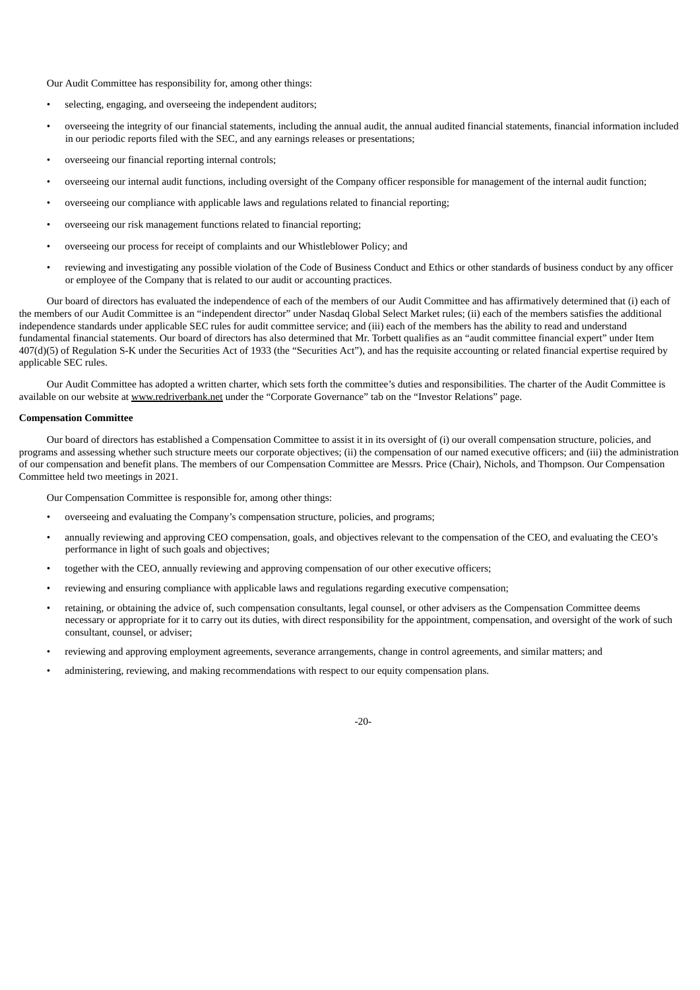Our Audit Committee has responsibility for, among other things:

- selecting, engaging, and overseeing the independent auditors;
- overseeing the integrity of our financial statements, including the annual audit, the annual audited financial statements, financial information included in our periodic reports filed with the SEC, and any earnings releases or presentations;
- overseeing our financial reporting internal controls;
- overseeing our internal audit functions, including oversight of the Company officer responsible for management of the internal audit function;
- overseeing our compliance with applicable laws and regulations related to financial reporting;
- overseeing our risk management functions related to financial reporting;
- overseeing our process for receipt of complaints and our Whistleblower Policy; and
- reviewing and investigating any possible violation of the Code of Business Conduct and Ethics or other standards of business conduct by any officer or employee of the Company that is related to our audit or accounting practices.

Our board of directors has evaluated the independence of each of the members of our Audit Committee and has affirmatively determined that (i) each of the members of our Audit Committee is an "independent director" under Nasdaq Global Select Market rules; (ii) each of the members satisfies the additional independence standards under applicable SEC rules for audit committee service; and (iii) each of the members has the ability to read and understand fundamental financial statements. Our board of directors has also determined that Mr. Torbett qualifies as an "audit committee financial expert" under Item 407(d)(5) of Regulation S-K under the Securities Act of 1933 (the "Securities Act"), and has the requisite accounting or related financial expertise required by applicable SEC rules.

Our Audit Committee has adopted a written charter, which sets forth the committee's duties and responsibilities. The charter of the Audit Committee is available on our website at www.redriverbank.net under the "Corporate Governance" tab on the "Investor Relations" page.

#### <span id="page-22-0"></span>**Compensation Committee**

Our board of directors has established a Compensation Committee to assist it in its oversight of (i) our overall compensation structure, policies, and programs and assessing whether such structure meets our corporate objectives; (ii) the compensation of our named executive officers; and (iii) the administration of our compensation and benefit plans. The members of our Compensation Committee are Messrs. Price (Chair), Nichols, and Thompson. Our Compensation Committee held two meetings in 2021.

Our Compensation Committee is responsible for, among other things:

- overseeing and evaluating the Company's compensation structure, policies, and programs;
- annually reviewing and approving CEO compensation, goals, and objectives relevant to the compensation of the CEO, and evaluating the CEO's performance in light of such goals and objectives;
- together with the CEO, annually reviewing and approving compensation of our other executive officers;
- reviewing and ensuring compliance with applicable laws and regulations regarding executive compensation;
- retaining, or obtaining the advice of, such compensation consultants, legal counsel, or other advisers as the Compensation Committee deems necessary or appropriate for it to carry out its duties, with direct responsibility for the appointment, compensation, and oversight of the work of such consultant, counsel, or adviser;
- reviewing and approving employment agreements, severance arrangements, change in control agreements, and similar matters; and
- administering, reviewing, and making recommendations with respect to our equity compensation plans.

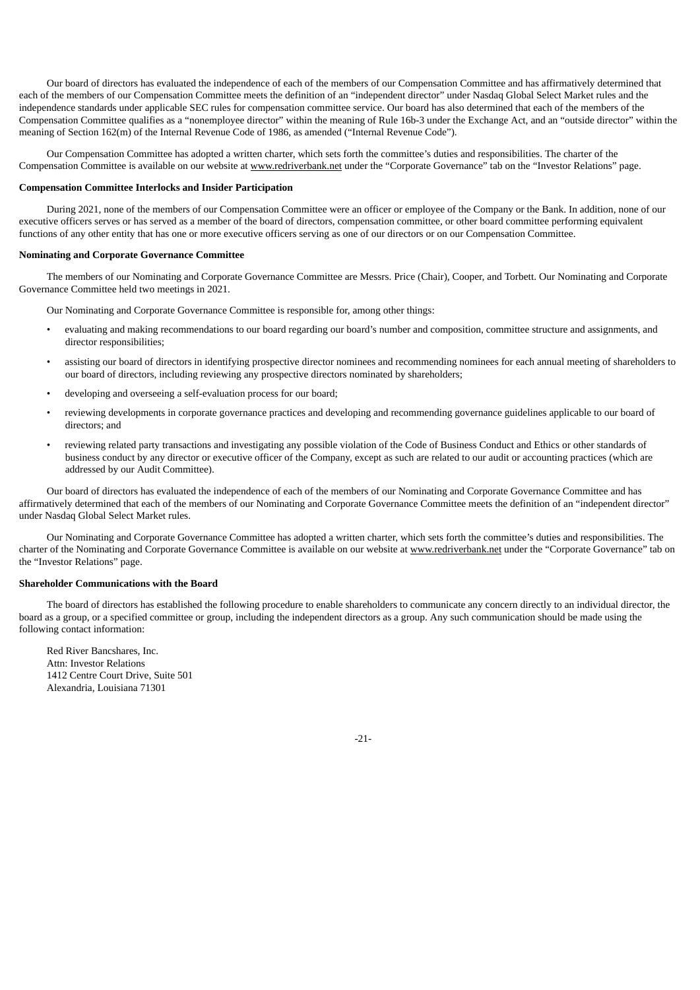Our board of directors has evaluated the independence of each of the members of our Compensation Committee and has affirmatively determined that each of the members of our Compensation Committee meets the definition of an "independent director" under Nasdaq Global Select Market rules and the independence standards under applicable SEC rules for compensation committee service. Our board has also determined that each of the members of the Compensation Committee qualifies as a "nonemployee director" within the meaning of Rule 16b-3 under the Exchange Act, and an "outside director" within the meaning of Section 162(m) of the Internal Revenue Code of 1986, as amended ("Internal Revenue Code").

Our Compensation Committee has adopted a written charter, which sets forth the committee's duties and responsibilities. The charter of the Compensation Committee is available on our website at www.redriverbank.net under the "Corporate Governance" tab on the "Investor Relations" page.

# <span id="page-23-0"></span>**Compensation Committee Interlocks and Insider Participation**

During 2021, none of the members of our Compensation Committee were an officer or employee of the Company or the Bank. In addition, none of our executive officers serves or has served as a member of the board of directors, compensation committee, or other board committee performing equivalent functions of any other entity that has one or more executive officers serving as one of our directors or on our Compensation Committee.

# <span id="page-23-1"></span>**Nominating and Corporate Governance Committee**

The members of our Nominating and Corporate Governance Committee are Messrs. Price (Chair), Cooper, and Torbett. Our Nominating and Corporate Governance Committee held two meetings in 2021.

Our Nominating and Corporate Governance Committee is responsible for, among other things:

- evaluating and making recommendations to our board regarding our board's number and composition, committee structure and assignments, and director responsibilities;
- assisting our board of directors in identifying prospective director nominees and recommending nominees for each annual meeting of shareholders to our board of directors, including reviewing any prospective directors nominated by shareholders;
- developing and overseeing a self-evaluation process for our board;
- reviewing developments in corporate governance practices and developing and recommending governance guidelines applicable to our board of directors; and
- reviewing related party transactions and investigating any possible violation of the Code of Business Conduct and Ethics or other standards of business conduct by any director or executive officer of the Company, except as such are related to our audit or accounting practices (which are addressed by our Audit Committee).

Our board of directors has evaluated the independence of each of the members of our Nominating and Corporate Governance Committee and has affirmatively determined that each of the members of our Nominating and Corporate Governance Committee meets the definition of an "independent director" under Nasdaq Global Select Market rules.

Our Nominating and Corporate Governance Committee has adopted a written charter, which sets forth the committee's duties and responsibilities. The charter of the Nominating and Corporate Governance Committee is available on our website at www.redriverbank.net under the "Corporate Governance" tab on the "Investor Relations" page.

# <span id="page-23-2"></span>**Shareholder Communications with the Board**

The board of directors has established the following procedure to enable shareholders to communicate any concern directly to an individual director, the board as a group, or a specified committee or group, including the independent directors as a group. Any such communication should be made using the following contact information:

Red River Bancshares, Inc. Attn: Investor Relations 1412 Centre Court Drive, Suite 501 Alexandria, Louisiana 71301

-21-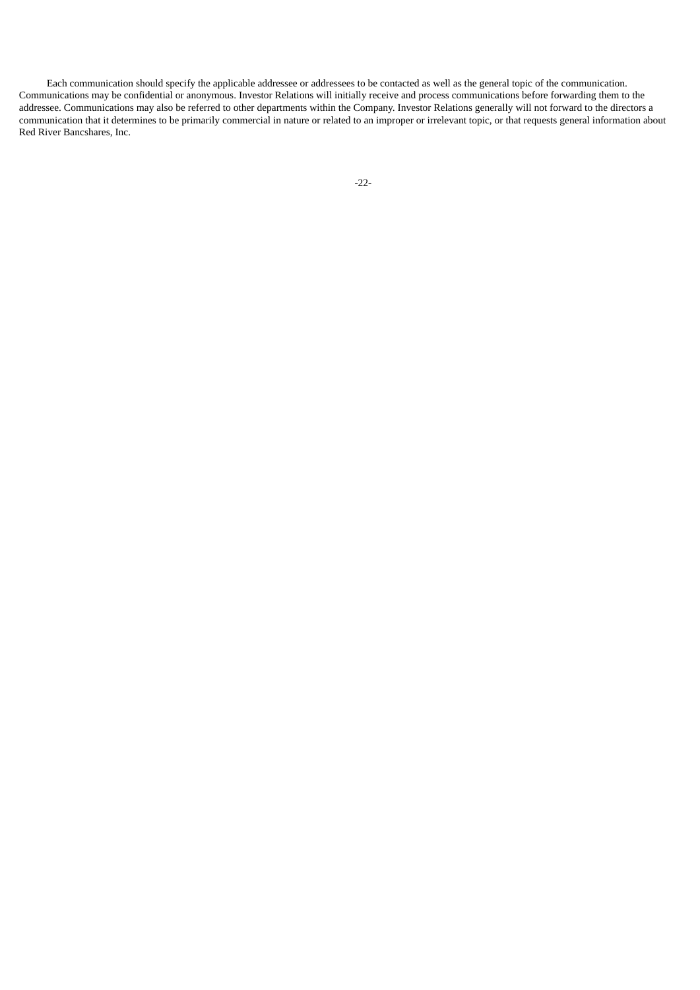<span id="page-24-0"></span>Each communication should specify the applicable addressee or addressees to be contacted as well as the general topic of the communication. Communications may be confidential or anonymous. Investor Relations will initially receive and process communications before forwarding them to the addressee. Communications may also be referred to other departments within the Company. Investor Relations generally will not forward to the directors a communication that it determines to be primarily commercial in nature or related to an improper or irrelevant topic, or that requests general information about Red River Bancshares, Inc.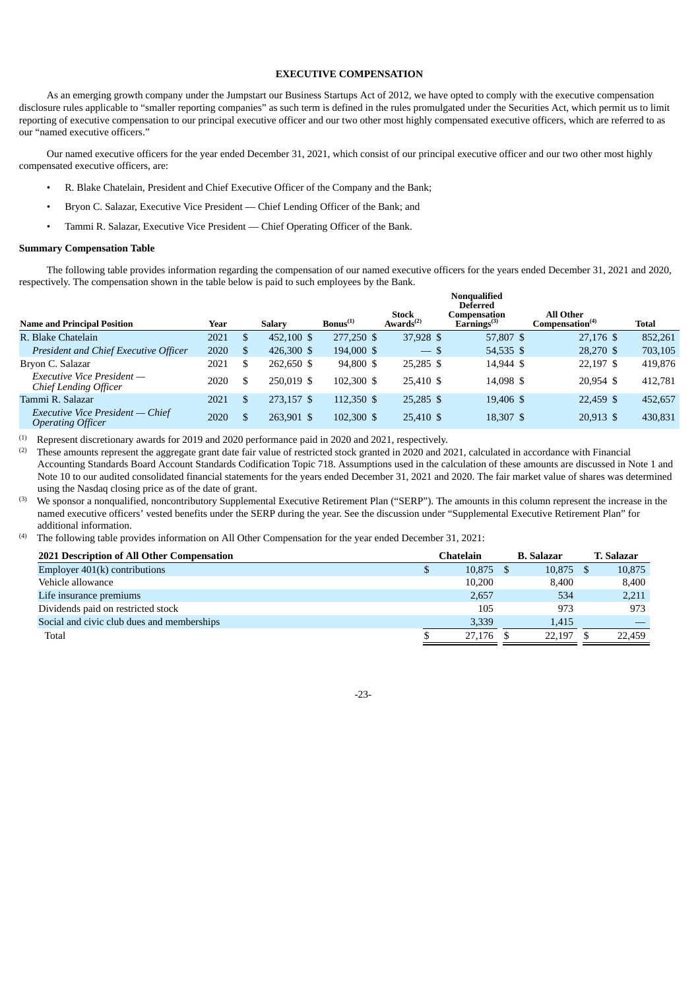# **EXECUTIVE COMPENSATION**

As an emerging growth company under the Jumpstart our Business Startups Act of 2012, we have opted to comply with the executive compensation disclosure rules applicable to "smaller reporting companies" as such term is defined in the rules promulgated under the Securities Act, which permit us to limit reporting of executive compensation to our principal executive officer and our two other most highly compensated executive officers, which are referred to as our "named executive officers."

Our named executive officers for the year ended December 31, 2021, which consist of our principal executive officer and our two other most highly compensated executive officers, are:

- R. Blake Chatelain, President and Chief Executive Officer of the Company and the Bank;
- Bryon C. Salazar, Executive Vice President Chief Lending Officer of the Bank; and
- Tammi R. Salazar, Executive Vice President Chief Operating Officer of the Bank.

#### <span id="page-25-0"></span>**Summary Compensation Table**

The following table provides information regarding the compensation of our named executive officers for the years ended December 31, 2021 and 2020, respectively. The compensation shown in the table below is paid to such employees by the Bank.

|                                                              |      |               |               |               |                                       | Nonqualified<br><b>Deferred</b>           |                                                 |              |
|--------------------------------------------------------------|------|---------------|---------------|---------------|---------------------------------------|-------------------------------------------|-------------------------------------------------|--------------|
| <b>Name and Principal Position</b>                           | Year |               | <b>Salarv</b> | $Bonus^{(1)}$ | <b>Stock</b><br>Awards <sup>(2)</sup> | Compensation<br>$E\mathbf{arnines}^{(3)}$ | <b>All Other</b><br>Compensation <sup>(4)</sup> | <b>Total</b> |
| R. Blake Chatelain                                           | 2021 | <sup>\$</sup> | 452,100 \$    | 277,250 \$    | 37,928 \$                             | 57,807 \$                                 | 27,176 \$                                       | 852.261      |
| President and Chief Executive Officer                        | 2020 | <sup>\$</sup> | 426,300 \$    | 194,000 \$    | $-$ \$                                | 54,535 \$                                 | 28,270 \$                                       | 703,105      |
| Bryon C. Salazar                                             | 2021 | \$            | 262,650 \$    | 94,800 \$     | 25,285 \$                             | 14,944 \$                                 | 22,197 \$                                       | 419.876      |
| Executive Vice President -<br>Chief Lending Officer          | 2020 | \$.           | 250.019 \$    | 102,300 \$    | 25,410 \$                             | 14.098 \$                                 | 20.954 \$                                       | 412.781      |
| Tammi R. Salazar                                             | 2021 | \$.           | 273,157 \$    | 112,350 \$    | $25,285$ \$                           | 19,406 \$                                 | 22,459 \$                                       | 452,657      |
| Executive Vice President - Chief<br><b>Operating Officer</b> | 2020 | S             | 263.901 \$    | 102,300 \$    | 25,410 \$                             | 18,307 \$                                 | 20,913 \$                                       | 430,831      |

 $(1)$  Represent discretionary awards for 2019 and 2020 performance paid in 2020 and 2021, respectively.

These amounts represent the aggregate grant date fair value of restricted stock granted in 2020 and 2021, calculated in accordance with Financial Accounting Standards Board Account Standards Codification Topic 718. Assumptions used in the calculation of these amounts are discussed in Note 1 and Note 10 to our audited consolidated financial statements for the years ended December 31, 2021 and 2020. The fair market value of shares was determined using the Nasdaq closing price as of the date of grant. (2)

We sponsor a nonqualified, noncontributory Supplemental Executive Retirement Plan ("SERP"). The amounts in this column represent the increase in the named executive officers' vested benefits under the SERP during the year. See the discussion under "Supplemental Executive Retirement Plan" for additional information. (3)

The following table provides information on All Other Compensation for the year ended December 31, 2021: (4)

<span id="page-25-1"></span>

| 2021 Description of All Other Compensation | Chatelain | <b>B.</b> Salazar | T. Salazar |
|--------------------------------------------|-----------|-------------------|------------|
| Employer $401(k)$ contributions            | 10,875    | 10,875            | 10,875     |
| Vehicle allowance                          | 10,200    | 8.400             | 8,400      |
| Life insurance premiums                    | 2,657     | 534               | 2,211      |
| Dividends paid on restricted stock         | 105       | 973               | 973        |
| Social and civic club dues and memberships | 3.339     | 1,415             |            |
| Total                                      | 27.176    | 22,197            | 22,459     |

-23-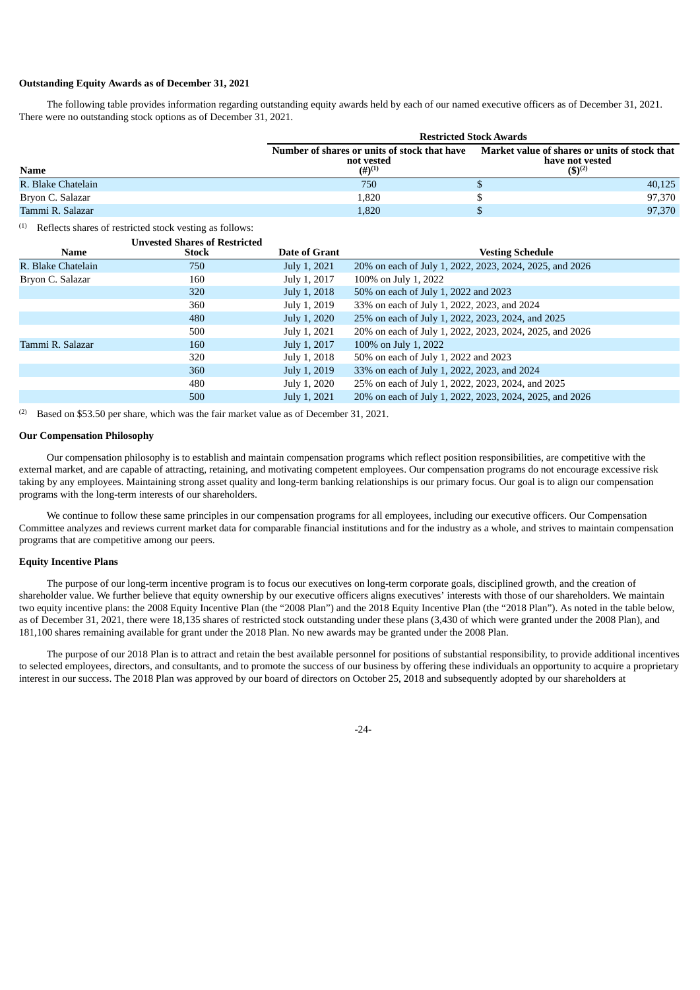# **Outstanding Equity Awards as of December 31, 2021**

The following table provides information regarding outstanding equity awards held by each of our named executive officers as of December 31, 2021. There were no outstanding stock options as of December 31, 2021.

|                    |                                                                                    | <b>Restricted Stock Awards</b>                                                  |  |  |  |  |  |
|--------------------|------------------------------------------------------------------------------------|---------------------------------------------------------------------------------|--|--|--|--|--|
| <b>Name</b>        | Number of shares or units of stock that have<br>not vested<br>$(4)$ <sup>(1)</sup> | Market value of shares or units of stock that<br>have not vested<br>$(S)^{(2)}$ |  |  |  |  |  |
| R. Blake Chatelain | 750                                                                                | 40.125                                                                          |  |  |  |  |  |
| Bryon C. Salazar   | 1,820                                                                              | 97,370                                                                          |  |  |  |  |  |
| Tammi R. Salazar   | 1,820                                                                              | 97,370                                                                          |  |  |  |  |  |

 $(1)$  Reflects shares of restricted stock vesting as follows:

|                    | <b>Unvested Shares of Restricted</b> |                      |                                                         |
|--------------------|--------------------------------------|----------------------|---------------------------------------------------------|
| Name               | Stock                                | <b>Date of Grant</b> | <b>Vesting Schedule</b>                                 |
| R. Blake Chatelain | 750                                  | July 1, 2021         | 20% on each of July 1, 2022, 2023, 2024, 2025, and 2026 |
| Bryon C. Salazar   | 160                                  | July 1, 2017         | 100% on July 1, 2022                                    |
|                    | 320                                  | July 1, 2018         | 50% on each of July 1, 2022 and 2023                    |
|                    | 360                                  | July 1, 2019         | 33% on each of July 1, 2022, 2023, and 2024             |
|                    | 480                                  | July 1, 2020         | 25% on each of July 1, 2022, 2023, 2024, and 2025       |
|                    | 500                                  | July 1, 2021         | 20% on each of July 1, 2022, 2023, 2024, 2025, and 2026 |
| Tammi R. Salazar   | 160                                  | July 1, 2017         | 100% on July 1, 2022                                    |
|                    | 320                                  | July 1, 2018         | 50% on each of July 1, 2022 and 2023                    |
|                    | 360                                  | July 1, 2019         | 33% on each of July 1, 2022, 2023, and 2024             |
|                    | 480                                  | July 1, 2020         | 25% on each of July 1, 2022, 2023, 2024, and 2025       |
|                    | 500                                  | July 1, 2021         | 20% on each of July 1, 2022, 2023, 2024, 2025, and 2026 |
|                    |                                      |                      |                                                         |

<span id="page-26-0"></span> $(2)$  Based on \$53.50 per share, which was the fair market value as of December 31, 2021.

# **Our Compensation Philosophy**

Our compensation philosophy is to establish and maintain compensation programs which reflect position responsibilities, are competitive with the external market, and are capable of attracting, retaining, and motivating competent employees. Our compensation programs do not encourage excessive risk taking by any employees. Maintaining strong asset quality and long-term banking relationships is our primary focus. Our goal is to align our compensation programs with the long-term interests of our shareholders.

We continue to follow these same principles in our compensation programs for all employees, including our executive officers. Our Compensation Committee analyzes and reviews current market data for comparable financial institutions and for the industry as a whole, and strives to maintain compensation programs that are competitive among our peers.

# <span id="page-26-1"></span>**Equity Incentive Plans**

The purpose of our long-term incentive program is to focus our executives on long-term corporate goals, disciplined growth, and the creation of shareholder value. We further believe that equity ownership by our executive officers aligns executives' interests with those of our shareholders. We maintain two equity incentive plans: the 2008 Equity Incentive Plan (the "2008 Plan") and the 2018 Equity Incentive Plan (the "2018 Plan"). As noted in the table below, as of December 31, 2021, there were 18,135 shares of restricted stock outstanding under these plans (3,430 of which were granted under the 2008 Plan), and 181,100 shares remaining available for grant under the 2018 Plan. No new awards may be granted under the 2008 Plan.

The purpose of our 2018 Plan is to attract and retain the best available personnel for positions of substantial responsibility, to provide additional incentives to selected employees, directors, and consultants, and to promote the success of our business by offering these individuals an opportunity to acquire a proprietary interest in our success. The 2018 Plan was approved by our board of directors on October 25, 2018 and subsequently adopted by our shareholders at

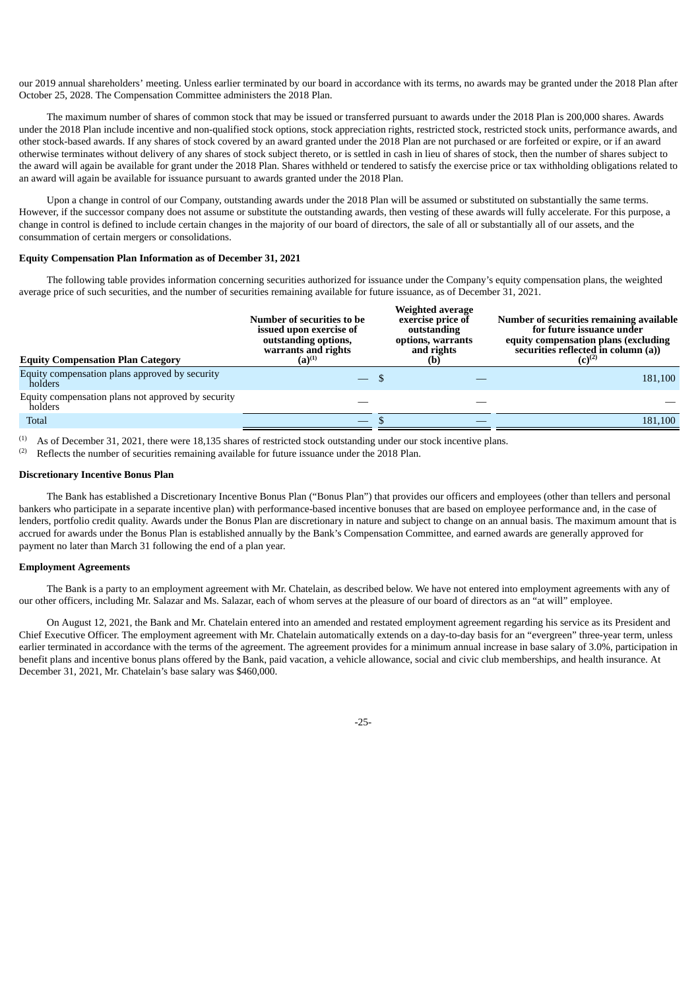our 2019 annual shareholders' meeting. Unless earlier terminated by our board in accordance with its terms, no awards may be granted under the 2018 Plan after October 25, 2028. The Compensation Committee administers the 2018 Plan.

The maximum number of shares of common stock that may be issued or transferred pursuant to awards under the 2018 Plan is 200,000 shares. Awards under the 2018 Plan include incentive and non-qualified stock options, stock appreciation rights, restricted stock, restricted stock units, performance awards, and other stock-based awards. If any shares of stock covered by an award granted under the 2018 Plan are not purchased or are forfeited or expire, or if an award otherwise terminates without delivery of any shares of stock subject thereto, or is settled in cash in lieu of shares of stock, then the number of shares subject to the award will again be available for grant under the 2018 Plan. Shares withheld or tendered to satisfy the exercise price or tax withholding obligations related to an award will again be available for issuance pursuant to awards granted under the 2018 Plan.

Upon a change in control of our Company, outstanding awards under the 2018 Plan will be assumed or substituted on substantially the same terms. However, if the successor company does not assume or substitute the outstanding awards, then vesting of these awards will fully accelerate. For this purpose, a change in control is defined to include certain changes in the majority of our board of directors, the sale of all or substantially all of our assets, and the consummation of certain mergers or consolidations.

#### <span id="page-27-0"></span>**Equity Compensation Plan Information as of December 31, 2021**

The following table provides information concerning securities authorized for issuance under the Company's equity compensation plans, the weighted average price of such securities, and the number of securities remaining available for future issuance, as of December 31, 2021.

| <b>Equity Compensation Plan Category</b>                      | Weighted average<br>Number of securities to be<br>exercise price of<br>issued upon exercise of<br>outstanding<br>outstanding options,<br>options, warrants<br>and rights<br>warrants and rights<br>$(a)^{(1)}$<br>(b) |  | Number of securities remaining available<br>for future issuance under<br>equity compensation plans (excluding<br>securities reflected in column (a))<br>$(C)^{(2)}$ |  |  |  |
|---------------------------------------------------------------|-----------------------------------------------------------------------------------------------------------------------------------------------------------------------------------------------------------------------|--|---------------------------------------------------------------------------------------------------------------------------------------------------------------------|--|--|--|
| Equity compensation plans approved by security<br>holders     |                                                                                                                                                                                                                       |  | 181,100                                                                                                                                                             |  |  |  |
| Equity compensation plans not approved by security<br>holders |                                                                                                                                                                                                                       |  |                                                                                                                                                                     |  |  |  |
| <b>Total</b>                                                  | $-$                                                                                                                                                                                                                   |  | 181,100                                                                                                                                                             |  |  |  |

 $(1)$  As of December 31, 2021, there were 18,135 shares of restricted stock outstanding under our stock incentive plans.

<span id="page-27-1"></span> $(2)$  Reflects the number of securities remaining available for future issuance under the 2018 Plan.

#### **Discretionary Incentive Bonus Plan**

The Bank has established a Discretionary Incentive Bonus Plan ("Bonus Plan") that provides our officers and employees (other than tellers and personal bankers who participate in a separate incentive plan) with performance-based incentive bonuses that are based on employee performance and, in the case of lenders, portfolio credit quality. Awards under the Bonus Plan are discretionary in nature and subject to change on an annual basis. The maximum amount that is accrued for awards under the Bonus Plan is established annually by the Bank's Compensation Committee, and earned awards are generally approved for payment no later than March 31 following the end of a plan year.

#### <span id="page-27-2"></span>**Employment Agreements**

The Bank is a party to an employment agreement with Mr. Chatelain, as described below. We have not entered into employment agreements with any of our other officers, including Mr. Salazar and Ms. Salazar, each of whom serves at the pleasure of our board of directors as an "at will" employee.

On August 12, 2021, the Bank and Mr. Chatelain entered into an amended and restated employment agreement regarding his service as its President and Chief Executive Officer. The employment agreement with Mr. Chatelain automatically extends on a day-to-day basis for an "evergreen" three-year term, unless earlier terminated in accordance with the terms of the agreement. The agreement provides for a minimum annual increase in base salary of 3.0%, participation in benefit plans and incentive bonus plans offered by the Bank, paid vacation, a vehicle allowance, social and civic club memberships, and health insurance. At December 31, 2021, Mr. Chatelain's base salary was \$460,000.

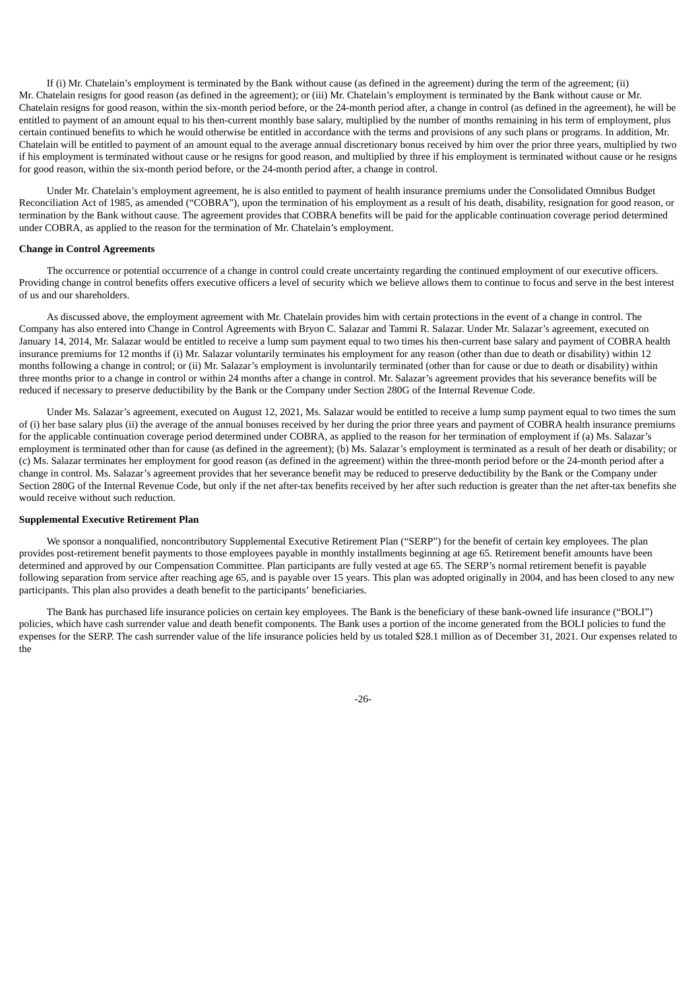If (i) Mr. Chatelain's employment is terminated by the Bank without cause (as defined in the agreement) during the term of the agreement; (ii) Mr. Chatelain resigns for good reason (as defined in the agreement); or (iii) Mr. Chatelain's employment is terminated by the Bank without cause or Mr. Chatelain resigns for good reason, within the six-month period before, or the 24-month period after, a change in control (as defined in the agreement), he will be entitled to payment of an amount equal to his then-current monthly base salary, multiplied by the number of months remaining in his term of employment, plus certain continued benefits to which he would otherwise be entitled in accordance with the terms and provisions of any such plans or programs. In addition, Mr. Chatelain will be entitled to payment of an amount equal to the average annual discretionary bonus received by him over the prior three years, multiplied by two if his employment is terminated without cause or he resigns for good reason, and multiplied by three if his employment is terminated without cause or he resigns for good reason, within the six-month period before, or the 24-month period after, a change in control.

Under Mr. Chatelain's employment agreement, he is also entitled to payment of health insurance premiums under the Consolidated Omnibus Budget Reconciliation Act of 1985, as amended ("COBRA"), upon the termination of his employment as a result of his death, disability, resignation for good reason, or termination by the Bank without cause. The agreement provides that COBRA benefits will be paid for the applicable continuation coverage period determined under COBRA, as applied to the reason for the termination of Mr. Chatelain's employment.

#### <span id="page-28-0"></span>**Change in Control Agreements**

The occurrence or potential occurrence of a change in control could create uncertainty regarding the continued employment of our executive officers. Providing change in control benefits offers executive officers a level of security which we believe allows them to continue to focus and serve in the best interest of us and our shareholders.

As discussed above, the employment agreement with Mr. Chatelain provides him with certain protections in the event of a change in control. The Company has also entered into Change in Control Agreements with Bryon C. Salazar and Tammi R. Salazar. Under Mr. Salazar's agreement, executed on January 14, 2014, Mr. Salazar would be entitled to receive a lump sum payment equal to two times his then-current base salary and payment of COBRA health insurance premiums for 12 months if (i) Mr. Salazar voluntarily terminates his employment for any reason (other than due to death or disability) within 12 months following a change in control; or (ii) Mr. Salazar's employment is involuntarily terminated (other than for cause or due to death or disability) within three months prior to a change in control or within 24 months after a change in control. Mr. Salazar's agreement provides that his severance benefits will be reduced if necessary to preserve deductibility by the Bank or the Company under Section 280G of the Internal Revenue Code.

Under Ms. Salazar's agreement, executed on August 12, 2021, Ms. Salazar would be entitled to receive a lump sump payment equal to two times the sum of (i) her base salary plus (ii) the average of the annual bonuses received by her during the prior three years and payment of COBRA health insurance premiums for the applicable continuation coverage period determined under COBRA, as applied to the reason for her termination of employment if (a) Ms. Salazar's employment is terminated other than for cause (as defined in the agreement); (b) Ms. Salazar's employment is terminated as a result of her death or disability; or (c) Ms. Salazar terminates her employment for good reason (as defined in the agreement) within the three-month period before or the 24-month period after a change in control. Ms. Salazar's agreement provides that her severance benefit may be reduced to preserve deductibility by the Bank or the Company under Section 280G of the Internal Revenue Code, but only if the net after-tax benefits received by her after such reduction is greater than the net after-tax benefits she would receive without such reduction.

# <span id="page-28-1"></span>**Supplemental Executive Retirement Plan**

We sponsor a nonqualified, noncontributory Supplemental Executive Retirement Plan ("SERP") for the benefit of certain key employees. The plan provides post-retirement benefit payments to those employees payable in monthly installments beginning at age 65. Retirement benefit amounts have been determined and approved by our Compensation Committee. Plan participants are fully vested at age 65. The SERP's normal retirement benefit is payable following separation from service after reaching age 65, and is payable over 15 years. This plan was adopted originally in 2004, and has been closed to any new participants. This plan also provides a death benefit to the participants' beneficiaries.

The Bank has purchased life insurance policies on certain key employees. The Bank is the beneficiary of these bank-owned life insurance ("BOLI") policies, which have cash surrender value and death benefit components. The Bank uses a portion of the income generated from the BOLI policies to fund the expenses for the SERP. The cash surrender value of the life insurance policies held by us totaled \$28.1 million as of December 31, 2021. Our expenses related to the

-26-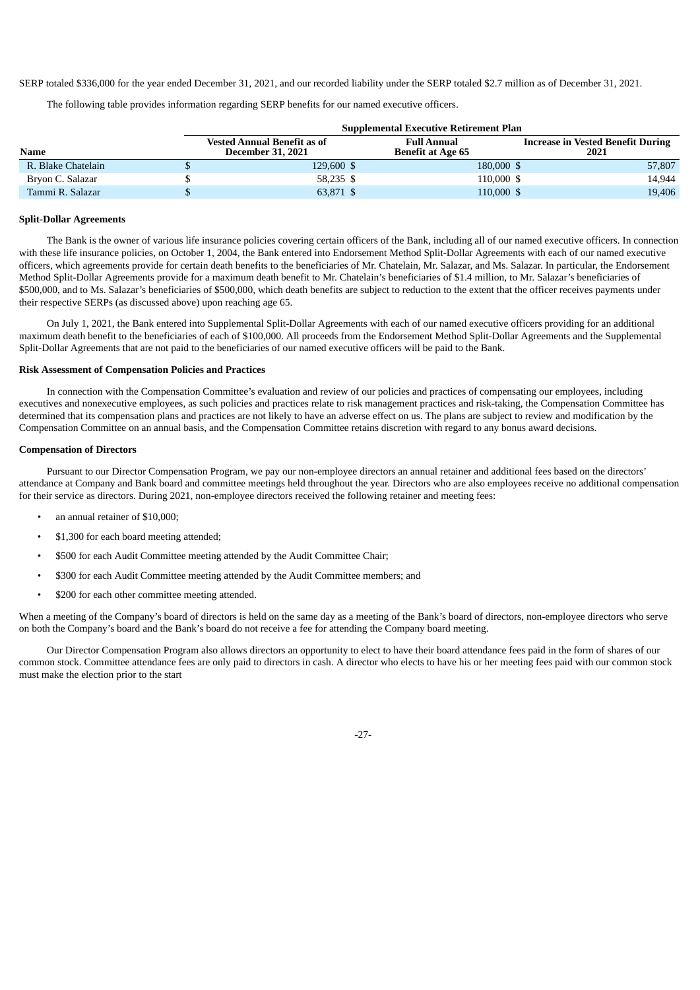SERP totaled \$336,000 for the year ended December 31, 2021, and our recorded liability under the SERP totaled \$2.7 million as of December 31, 2021.

The following table provides information regarding SERP benefits for our named executive officers.

|                    | <b>Supplemental Executive Retirement Plan</b> |                                                                |                                                |                                                  |  |  |  |
|--------------------|-----------------------------------------------|----------------------------------------------------------------|------------------------------------------------|--------------------------------------------------|--|--|--|
| <b>Name</b>        |                                               | <b>Vested Annual Benefit as of</b><br><b>December 31, 2021</b> | <b>Full Annual</b><br><b>Benefit at Age 65</b> | <b>Increase in Vested Benefit During</b><br>2021 |  |  |  |
| R. Blake Chatelain |                                               | 129,600 \$                                                     | 180,000 \$                                     | 57,807                                           |  |  |  |
| Bryon C. Salazar   |                                               | 58,235 \$                                                      | 110,000 \$                                     | 14,944                                           |  |  |  |
| Tammi R. Salazar   |                                               | 63,871 \$                                                      | 110,000 \$                                     | 19,406                                           |  |  |  |

#### <span id="page-29-0"></span>**Split-Dollar Agreements**

The Bank is the owner of various life insurance policies covering certain officers of the Bank, including all of our named executive officers. In connection with these life insurance policies, on October 1, 2004, the Bank entered into Endorsement Method Split-Dollar Agreements with each of our named executive officers, which agreements provide for certain death benefits to the beneficiaries of Mr. Chatelain, Mr. Salazar, and Ms. Salazar. In particular, the Endorsement Method Split-Dollar Agreements provide for a maximum death benefit to Mr. Chatelain's beneficiaries of \$1.4 million, to Mr. Salazar's beneficiaries of \$500,000, and to Ms. Salazar's beneficiaries of \$500,000, which death benefits are subject to reduction to the extent that the officer receives payments under their respective SERPs (as discussed above) upon reaching age 65.

On July 1, 2021, the Bank entered into Supplemental Split-Dollar Agreements with each of our named executive officers providing for an additional maximum death benefit to the beneficiaries of each of \$100,000. All proceeds from the Endorsement Method Split-Dollar Agreements and the Supplemental Split-Dollar Agreements that are not paid to the beneficiaries of our named executive officers will be paid to the Bank.

# <span id="page-29-1"></span>**Risk Assessment of Compensation Policies and Practices**

In connection with the Compensation Committee's evaluation and review of our policies and practices of compensating our employees, including executives and nonexecutive employees, as such policies and practices relate to risk management practices and risk-taking, the Compensation Committee has determined that its compensation plans and practices are not likely to have an adverse effect on us. The plans are subject to review and modification by the Compensation Committee on an annual basis, and the Compensation Committee retains discretion with regard to any bonus award decisions.

#### <span id="page-29-2"></span>**Compensation of Directors**

Pursuant to our Director Compensation Program, we pay our non-employee directors an annual retainer and additional fees based on the directors' attendance at Company and Bank board and committee meetings held throughout the year. Directors who are also employees receive no additional compensation for their service as directors. During 2021, non-employee directors received the following retainer and meeting fees:

- an annual retainer of \$10,000;
- \$1,300 for each board meeting attended;
- \$500 for each Audit Committee meeting attended by the Audit Committee Chair;
- \$300 for each Audit Committee meeting attended by the Audit Committee members; and
- \$200 for each other committee meeting attended.

When a meeting of the Company's board of directors is held on the same day as a meeting of the Bank's board of directors, non-employee directors who serve on both the Company's board and the Bank's board do not receive a fee for attending the Company board meeting.

Our Director Compensation Program also allows directors an opportunity to elect to have their board attendance fees paid in the form of shares of our common stock. Committee attendance fees are only paid to directors in cash. A director who elects to have his or her meeting fees paid with our common stock must make the election prior to the start

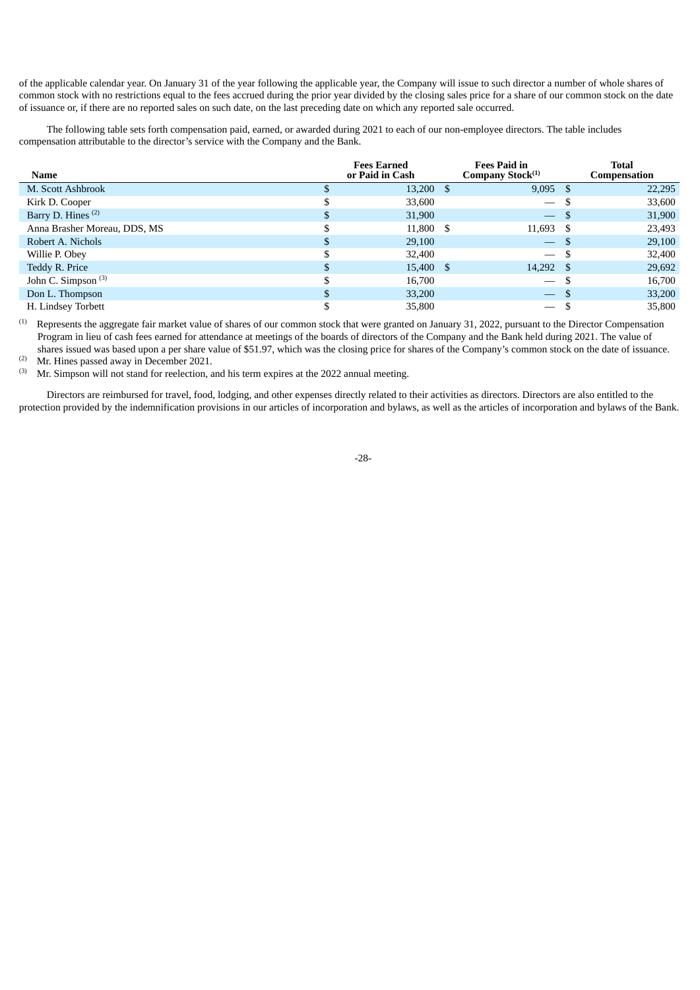of the applicable calendar year. On January 31 of the year following the applicable year, the Company will issue to such director a number of whole shares of common stock with no restrictions equal to the fees accrued during the prior year divided by the closing sales price for a share of our common stock on the date of issuance or, if there are no reported sales on such date, on the last preceding date on which any reported sale occurred.

The following table sets forth compensation paid, earned, or awarded during 2021 to each of our non-employee directors. The table includes compensation attributable to the director's service with the Company and the Bank.

| <b>Name</b>                    | <b>Fees Earned</b><br>or Paid in Cash | <b>Fees Paid in</b><br>Company Stock <sup>(1)</sup> |      | <b>Total</b><br><b>Compensation</b> |
|--------------------------------|---------------------------------------|-----------------------------------------------------|------|-------------------------------------|
| M. Scott Ashbrook              | 13,200 \$                             | $9,095$ \$                                          |      | 22,295                              |
| Kirk D. Cooper                 | 33,600                                | $\overline{\phantom{m}}$                            |      | 33,600                              |
| Barry D. Hines <sup>(2)</sup>  | 31,900                                | $\overline{\phantom{m}}$                            | - S  | 31,900                              |
| Anna Brasher Moreau, DDS, MS   | 11,800 \$                             | 11,693 \$                                           |      | 23,493                              |
| Robert A. Nichols              | 29,100                                | $\overline{\phantom{m}}$                            | -S   | 29,100                              |
| Willie P. Obey                 | 32,400                                | $\overbrace{\phantom{aaaaa}}$                       |      | 32,400                              |
| Teddy R. Price                 | 15,400 \$                             | 14,292 \$                                           |      | 29,692                              |
| John C. Simpson <sup>(3)</sup> | 16,700                                | $\overbrace{\phantom{aaaaa}}$                       | - \$ | 16,700                              |
| Don L. Thompson                | 33,200                                | $\overline{\phantom{m}}$                            | -S   | 33,200                              |
| H. Lindsey Torbett             | 35,800                                | $\overline{\phantom{0}}$                            |      | 35,800                              |

Represents the aggregate fair market value of shares of our common stock that were granted on January 31, 2022, pursuant to the Director Compensation Program in lieu of cash fees earned for attendance at meetings of the boards of directors of the Company and the Bank held during 2021. The value of shares issued was based upon a per share value of \$51.97, which was the closing price for shares of the Company's common stock on the date of issuance. (1)

Mr. Hines passed away in December 2021. (2)

Mr. Simpson will not stand for reelection, and his term expires at the 2022 annual meeting. (3)

<span id="page-30-0"></span>Directors are reimbursed for travel, food, lodging, and other expenses directly related to their activities as directors. Directors are also entitled to the protection provided by the indemnification provisions in our articles of incorporation and bylaws, as well as the articles of incorporation and bylaws of the Bank.

-28-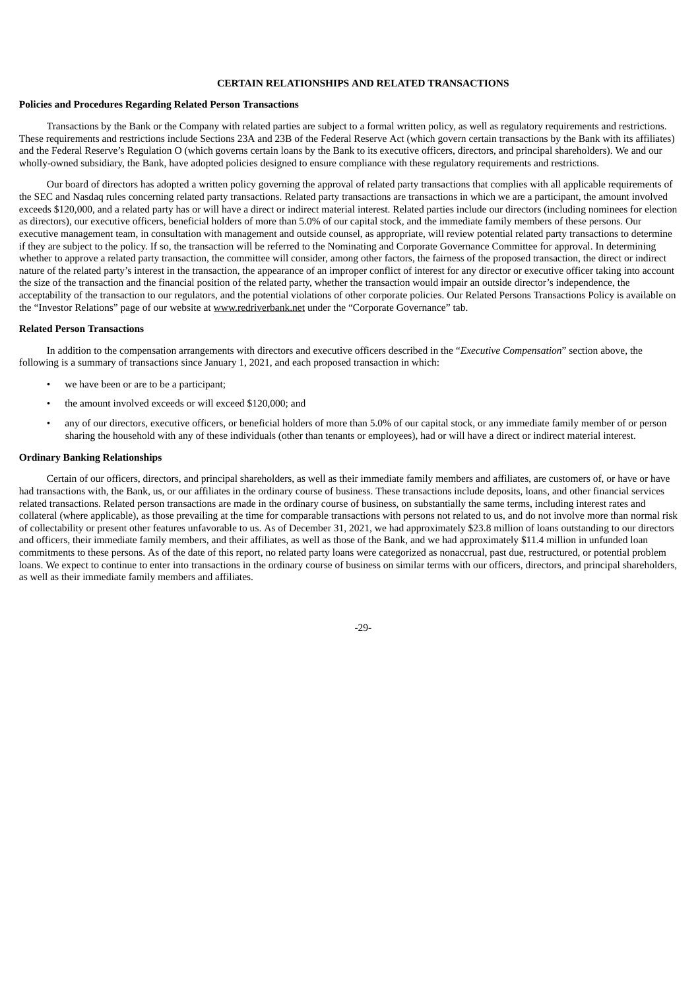# **CERTAIN RELATIONSHIPS AND RELATED TRANSACTIONS**

#### <span id="page-31-0"></span>**Policies and Procedures Regarding Related Person Transactions**

Transactions by the Bank or the Company with related parties are subject to a formal written policy, as well as regulatory requirements and restrictions. These requirements and restrictions include Sections 23A and 23B of the Federal Reserve Act (which govern certain transactions by the Bank with its affiliates) and the Federal Reserve's Regulation O (which governs certain loans by the Bank to its executive officers, directors, and principal shareholders). We and our wholly-owned subsidiary, the Bank, have adopted policies designed to ensure compliance with these regulatory requirements and restrictions.

Our board of directors has adopted a written policy governing the approval of related party transactions that complies with all applicable requirements of the SEC and Nasdaq rules concerning related party transactions. Related party transactions are transactions in which we are a participant, the amount involved exceeds \$120,000, and a related party has or will have a direct or indirect material interest. Related parties include our directors (including nominees for election as directors), our executive officers, beneficial holders of more than 5.0% of our capital stock, and the immediate family members of these persons. Our executive management team, in consultation with management and outside counsel, as appropriate, will review potential related party transactions to determine if they are subject to the policy. If so, the transaction will be referred to the Nominating and Corporate Governance Committee for approval. In determining whether to approve a related party transaction, the committee will consider, among other factors, the fairness of the proposed transaction, the direct or indirect nature of the related party's interest in the transaction, the appearance of an improper conflict of interest for any director or executive officer taking into account the size of the transaction and the financial position of the related party, whether the transaction would impair an outside director's independence, the acceptability of the transaction to our regulators, and the potential violations of other corporate policies. Our Related Persons Transactions Policy is available on the "Investor Relations" page of our website at www.redriverbank.net under the "Corporate Governance" tab.

#### <span id="page-31-1"></span>**Related Person Transactions**

In addition to the compensation arrangements with directors and executive officers described in the "*Executive Compensation*" section above, the following is a summary of transactions since January 1, 2021, and each proposed transaction in which:

- we have been or are to be a participant;
- the amount involved exceeds or will exceed \$120,000; and
- any of our directors, executive officers, or beneficial holders of more than 5.0% of our capital stock, or any immediate family member of or person sharing the household with any of these individuals (other than tenants or employees), had or will have a direct or indirect material interest.

#### <span id="page-31-2"></span>**Ordinary Banking Relationships**

<span id="page-31-3"></span>Certain of our officers, directors, and principal shareholders, as well as their immediate family members and affiliates, are customers of, or have or have had transactions with, the Bank, us, or our affiliates in the ordinary course of business. These transactions include deposits, loans, and other financial services related transactions. Related person transactions are made in the ordinary course of business, on substantially the same terms, including interest rates and collateral (where applicable), as those prevailing at the time for comparable transactions with persons not related to us, and do not involve more than normal risk of collectability or present other features unfavorable to us. As of December 31, 2021, we had approximately \$23.8 million of loans outstanding to our directors and officers, their immediate family members, and their affiliates, as well as those of the Bank, and we had approximately \$11.4 million in unfunded loan commitments to these persons. As of the date of this report, no related party loans were categorized as nonaccrual, past due, restructured, or potential problem loans. We expect to continue to enter into transactions in the ordinary course of business on similar terms with our officers, directors, and principal shareholders, as well as their immediate family members and affiliates.

 $-29$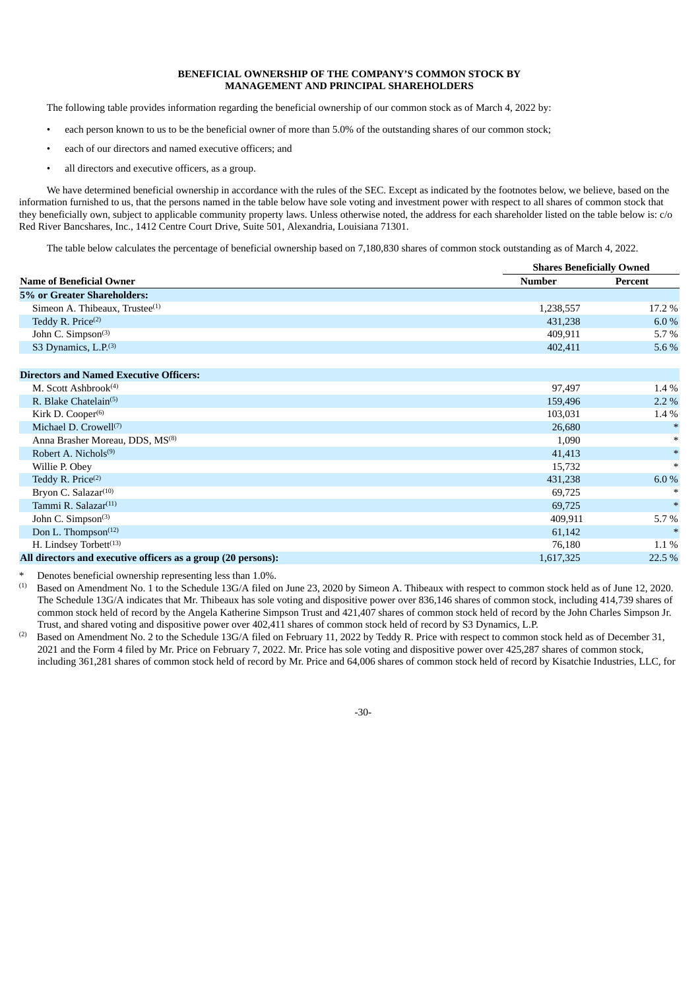# **BENEFICIAL OWNERSHIP OF THE COMPANY'S COMMON STOCK BY MANAGEMENT AND PRINCIPAL SHAREHOLDERS**

The following table provides information regarding the beneficial ownership of our common stock as of March 4, 2022 by:

- each person known to us to be the beneficial owner of more than 5.0% of the outstanding shares of our common stock;
- each of our directors and named executive officers; and
- all directors and executive officers, as a group.

We have determined beneficial ownership in accordance with the rules of the SEC. Except as indicated by the footnotes below, we believe, based on the information furnished to us, that the persons named in the table below have sole voting and investment power with respect to all shares of common stock that they beneficially own, subject to applicable community property laws. Unless otherwise noted, the address for each shareholder listed on the table below is: c/o Red River Bancshares, Inc., 1412 Centre Court Drive, Suite 501, Alexandria, Louisiana 71301.

The table below calculates the percentage of beneficial ownership based on 7,180,830 shares of common stock outstanding as of March 4, 2022.

|                                                               |           | <b>Shares Beneficially Owned</b> |  |  |  |
|---------------------------------------------------------------|-----------|----------------------------------|--|--|--|
| <b>Name of Beneficial Owner</b>                               | Number    | Percent                          |  |  |  |
| 5% or Greater Shareholders:                                   |           |                                  |  |  |  |
| Simeon A. Thibeaux, Trustee <sup>(1)</sup>                    | 1,238,557 | 17.2 %                           |  |  |  |
| Teddy R. Price <sup>(2)</sup>                                 | 431,238   | 6.0%                             |  |  |  |
| John C. Simpson(3)                                            | 409,911   | 5.7%                             |  |  |  |
| S3 Dynamics, L.P. <sup>(3)</sup>                              | 402,411   | 5.6 %                            |  |  |  |
| <b>Directors and Named Executive Officers:</b>                |           |                                  |  |  |  |
| M. Scott Ashbrook <sup>(4)</sup>                              | 97,497    | 1.4 %                            |  |  |  |
| R. Blake Chatelain <sup>(5)</sup>                             | 159,496   | $2.2\%$                          |  |  |  |
| Kirk D. Cooper <sup>(6)</sup>                                 | 103,031   | 1.4 %                            |  |  |  |
| Michael D. Crowell <sup>(7)</sup>                             | 26,680    |                                  |  |  |  |
| Anna Brasher Moreau, DDS, MS <sup>(8)</sup>                   | 1,090     | $*$                              |  |  |  |
| Robert A. Nichols <sup>(9)</sup>                              | 41,413    | $\ast$                           |  |  |  |
| Willie P. Obey                                                | 15,732    | $*$                              |  |  |  |
| Teddy R. Price <sup>(2)</sup>                                 | 431,238   | 6.0%                             |  |  |  |
| Bryon C. Salazar <sup>(10)</sup>                              | 69,725    |                                  |  |  |  |
| Tammi R. Salazar <sup>(11)</sup>                              | 69,725    | $\ast$                           |  |  |  |
| John C. Simpson <sup>(3)</sup>                                | 409,911   | 5.7%                             |  |  |  |
| Don L. Thompson <sup>(12)</sup>                               | 61,142    |                                  |  |  |  |
| H. Lindsey Torbett <sup>(13)</sup>                            | 76,180    | 1.1%                             |  |  |  |
| All directors and executive officers as a group (20 persons): | 1,617,325 | 22.5 %                           |  |  |  |

Denotes beneficial ownership representing less than 1.0%.

Based on Amendment No. 1 to the Schedule 13G/A filed on June 23, 2020 by Simeon A. Thibeaux with respect to common stock held as of June 12, 2020. The Schedule 13G/A indicates that Mr. Thibeaux has sole voting and dispositive power over 836,146 shares of common stock, including 414,739 shares of common stock held of record by the Angela Katherine Simpson Trust and 421,407 shares of common stock held of record by the John Charles Simpson Jr. Trust, and shared voting and dispositive power over 402,411 shares of common stock held of record by S3 Dynamics, L.P. (1)

Based on Amendment No. 2 to the Schedule 13G/A filed on February 11, 2022 by Teddy R. Price with respect to common stock held as of December 31, 2021 and the Form 4 filed by Mr. Price on February 7, 2022. Mr. Price has sole voting and dispositive power over 425,287 shares of common stock, including 361,281 shares of common stock held of record by Mr. Price and 64,006 shares of common stock held of record by Kisatchie Industries, LLC, for (2)

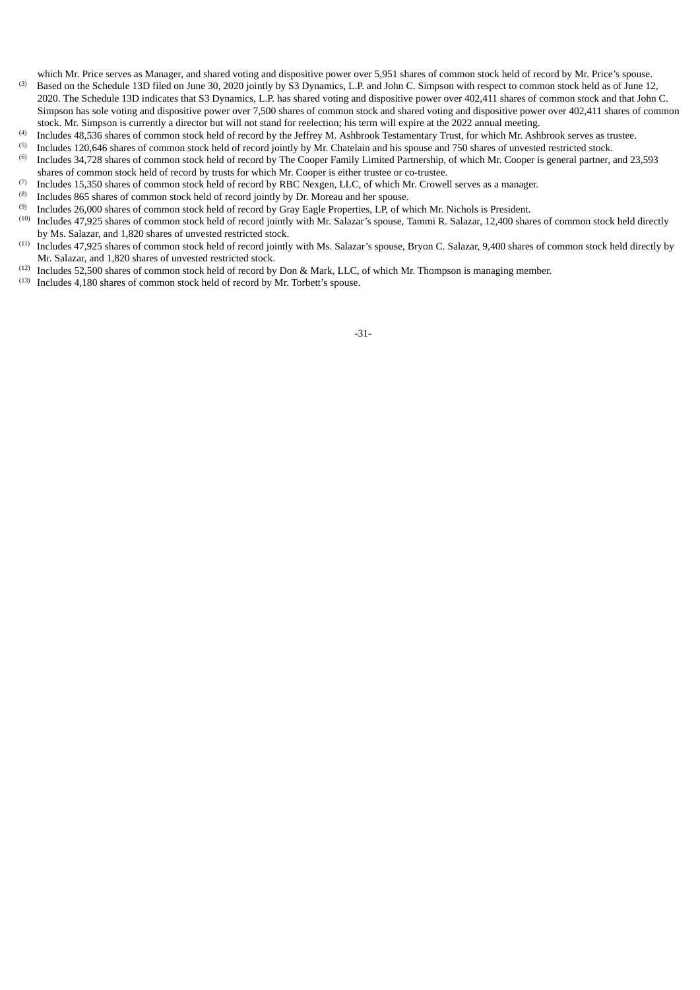which Mr. Price serves as Manager, and shared voting and dispositive power over 5,951 shares of common stock held of record by Mr. Price's spouse. (3)

- Based on the Schedule 13D filed on June 30, 2020 jointly by S3 Dynamics, L.P. and John C. Simpson with respect to common stock held as of June 12, 2020. The Schedule 13D indicates that S3 Dynamics, L.P. has shared voting and dispositive power over 402,411 shares of common stock and that John C. Simpson has sole voting and dispositive power over 7,500 shares of common stock and shared voting and dispositive power over 402,411 shares of common stock. Mr. Simpson is currently a director but will not stand for reelection; his term will expire at the 2022 annual meeting.
- Includes 48,536 shares of common stock held of record by the Jeffrey M. Ashbrook Testamentary Trust, for which Mr. Ashbrook serves as trustee. (4)
- Includes 120,646 shares of common stock held of record jointly by Mr. Chatelain and his spouse and 750 shares of unvested restricted stock. (5)
- Includes 34,728 shares of common stock held of record by The Cooper Family Limited Partnership, of which Mr. Cooper is general partner, and 23,593 shares of common stock held of record by trusts for which Mr. Cooper is either trustee or co-trustee. (6)
- Includes 15,350 shares of common stock held of record by RBC Nexgen, LLC, of which Mr. Crowell serves as a manager. (7)
- Includes 865 shares of common stock held of record jointly by Dr. Moreau and her spouse. (8)
- Includes 26,000 shares of common stock held of record by Gray Eagle Properties, LP, of which Mr. Nichols is President. (9)
- Includes 47,925 shares of common stock held of record jointly with Mr. Salazar's spouse, Tammi R. Salazar, 12,400 shares of common stock held directly by Ms. Salazar, and 1,820 shares of unvested restricted stock. (10)
- Includes 47,925 shares of common stock held of record jointly with Ms. Salazar's spouse, Bryon C. Salazar, 9,400 shares of common stock held directly by Mr. Salazar, and 1,820 shares of unvested restricted stock. (11)
- $(12)$  Includes 52,500 shares of common stock held of record by Don & Mark, LLC, of which Mr. Thompson is managing member.
- <span id="page-33-0"></span> $(13)$  Includes 4,180 shares of common stock held of record by Mr. Torbett's spouse.

-31-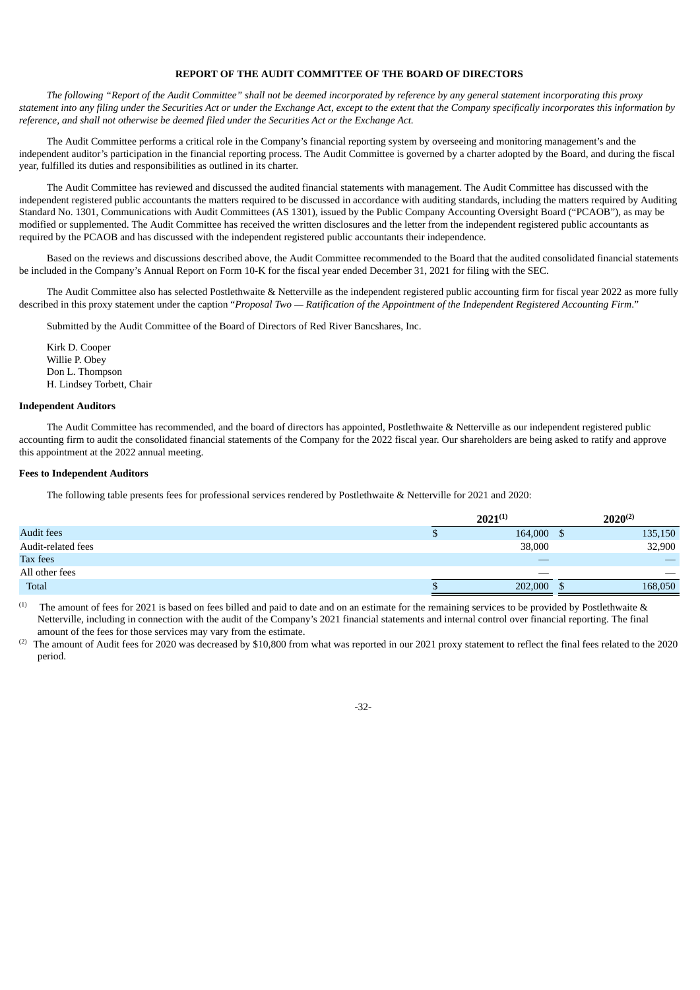# **REPORT OF THE AUDIT COMMITTEE OF THE BOARD OF DIRECTORS**

The following "Report of the Audit Committee" shall not be deemed incorporated by reference by any general statement incorporating this proxy statement into any filing under the Securities Act or under the Exchange Act, except to the extent that the Company specifically incorporates this information by *reference, and shall not otherwise be deemed filed under the Securities Act or the Exchange Act.*

The Audit Committee performs a critical role in the Company's financial reporting system by overseeing and monitoring management's and the independent auditor's participation in the financial reporting process. The Audit Committee is governed by a charter adopted by the Board, and during the fiscal year, fulfilled its duties and responsibilities as outlined in its charter.

The Audit Committee has reviewed and discussed the audited financial statements with management. The Audit Committee has discussed with the independent registered public accountants the matters required to be discussed in accordance with auditing standards, including the matters required by Auditing Standard No. 1301, Communications with Audit Committees (AS 1301), issued by the Public Company Accounting Oversight Board ("PCAOB"), as may be modified or supplemented. The Audit Committee has received the written disclosures and the letter from the independent registered public accountants as required by the PCAOB and has discussed with the independent registered public accountants their independence.

Based on the reviews and discussions described above, the Audit Committee recommended to the Board that the audited consolidated financial statements be included in the Company's Annual Report on Form 10-K for the fiscal year ended December 31, 2021 for filing with the SEC.

The Audit Committee also has selected Postlethwaite & Netterville as the independent registered public accounting firm for fiscal year 2022 as more fully described in this proxy statement under the caption "Proposal Two — Ratification of the Appointment of the Independent Registered Accounting Firm."

Submitted by the Audit Committee of the Board of Directors of Red River Bancshares, Inc.

Kirk D. Cooper Willie P. Obey Don L. Thompson H. Lindsey Torbett, Chair

# <span id="page-34-0"></span>**Independent Auditors**

The Audit Committee has recommended, and the board of directors has appointed, Postlethwaite & Netterville as our independent registered public accounting firm to audit the consolidated financial statements of the Company for the 2022 fiscal year. Our shareholders are being asked to ratify and approve this appointment at the 2022 annual meeting.

#### <span id="page-34-1"></span>**Fees to Independent Auditors**

The following table presents fees for professional services rendered by Postlethwaite & Netterville for 2021 and 2020:

|                    | $2021^{(1)}$ |         |         |         |
|--------------------|--------------|---------|---------|---------|
| <b>Audit fees</b>  |              | 164,000 | 135,150 |         |
| Audit-related fees |              | 38,000  |         | 32,900  |
| Tax fees           |              |         |         |         |
| All other fees     |              | ___     |         |         |
| Total              |              | 202,000 |         | 168,050 |

The amount of fees for 2021 is based on fees billed and paid to date and on an estimate for the remaining services to be provided by Postlethwaite & Netterville, including in connection with the audit of the Company's 2021 financial statements and internal control over financial reporting. The final amount of the fees for those services may vary from the estimate. (1)

 $^{(2)}$  The amount of Audit fees for 2020 was decreased by \$10,800 from what was reported in our 2021 proxy statement to reflect the final fees related to the 2020 period.

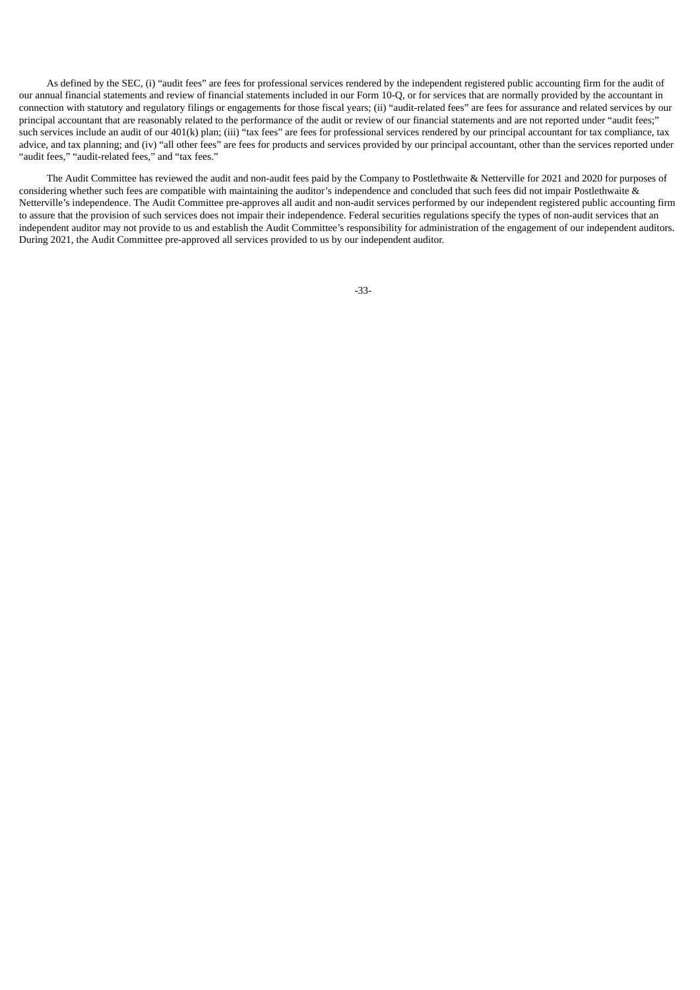As defined by the SEC, (i) "audit fees" are fees for professional services rendered by the independent registered public accounting firm for the audit of our annual financial statements and review of financial statements included in our Form 10-Q, or for services that are normally provided by the accountant in connection with statutory and regulatory filings or engagements for those fiscal years; (ii) "audit-related fees" are fees for assurance and related services by our principal accountant that are reasonably related to the performance of the audit or review of our financial statements and are not reported under "audit fees;" such services include an audit of our 401(k) plan; (iii) "tax fees" are fees for professional services rendered by our principal accountant for tax compliance, tax advice, and tax planning; and (iv) "all other fees" are fees for products and services provided by our principal accountant, other than the services reported under "audit fees," "audit-related fees," and "tax fees."

<span id="page-35-0"></span>The Audit Committee has reviewed the audit and non-audit fees paid by the Company to Postlethwaite & Netterville for 2021 and 2020 for purposes of considering whether such fees are compatible with maintaining the auditor's independence and concluded that such fees did not impair Postlethwaite & Netterville's independence. The Audit Committee pre-approves all audit and non-audit services performed by our independent registered public accounting firm to assure that the provision of such services does not impair their independence. Federal securities regulations specify the types of non-audit services that an independent auditor may not provide to us and establish the Audit Committee's responsibility for administration of the engagement of our independent auditors. During 2021, the Audit Committee pre-approved all services provided to us by our independent auditor.

-33-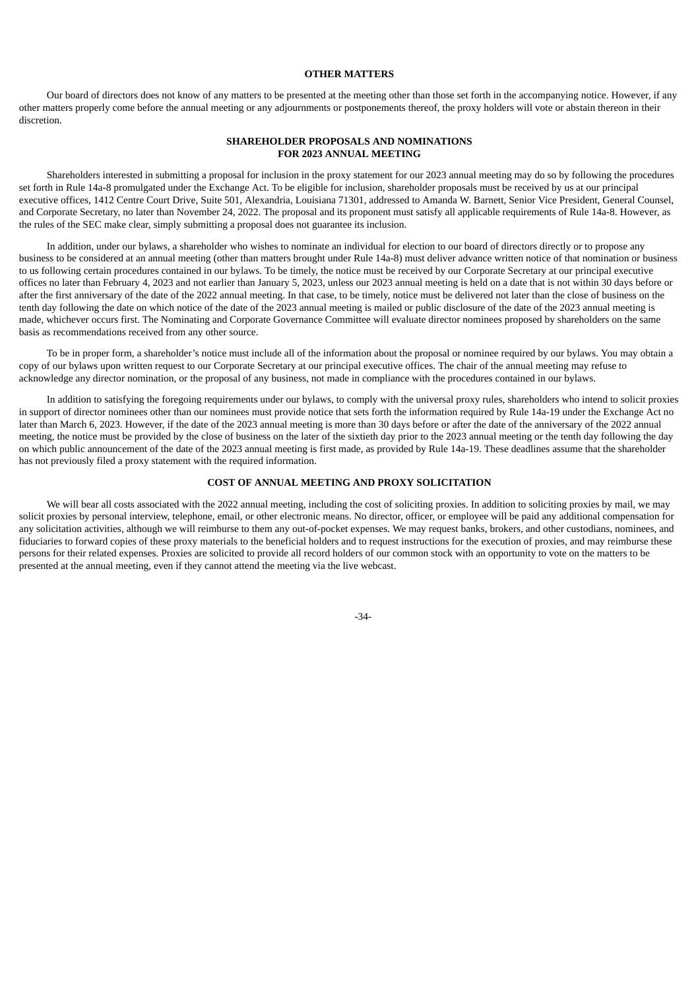# **OTHER MATTERS**

<span id="page-36-0"></span>Our board of directors does not know of any matters to be presented at the meeting other than those set forth in the accompanying notice. However, if any other matters properly come before the annual meeting or any adjournments or postponements thereof, the proxy holders will vote or abstain thereon in their discretion.

# **SHAREHOLDER PROPOSALS AND NOMINATIONS FOR 2023 ANNUAL MEETING**

Shareholders interested in submitting a proposal for inclusion in the proxy statement for our 2023 annual meeting may do so by following the procedures set forth in Rule 14a-8 promulgated under the Exchange Act. To be eligible for inclusion, shareholder proposals must be received by us at our principal executive offices, 1412 Centre Court Drive, Suite 501, Alexandria, Louisiana 71301, addressed to Amanda W. Barnett, Senior Vice President, General Counsel, and Corporate Secretary, no later than November 24, 2022. The proposal and its proponent must satisfy all applicable requirements of Rule 14a-8. However, as the rules of the SEC make clear, simply submitting a proposal does not guarantee its inclusion.

In addition, under our bylaws, a shareholder who wishes to nominate an individual for election to our board of directors directly or to propose any business to be considered at an annual meeting (other than matters brought under Rule 14a-8) must deliver advance written notice of that nomination or business to us following certain procedures contained in our bylaws. To be timely, the notice must be received by our Corporate Secretary at our principal executive offices no later than February 4, 2023 and not earlier than January 5, 2023, unless our 2023 annual meeting is held on a date that is not within 30 days before or after the first anniversary of the date of the 2022 annual meeting. In that case, to be timely, notice must be delivered not later than the close of business on the tenth day following the date on which notice of the date of the 2023 annual meeting is mailed or public disclosure of the date of the 2023 annual meeting is made, whichever occurs first. The Nominating and Corporate Governance Committee will evaluate director nominees proposed by shareholders on the same basis as recommendations received from any other source.

To be in proper form, a shareholder's notice must include all of the information about the proposal or nominee required by our bylaws. You may obtain a copy of our bylaws upon written request to our Corporate Secretary at our principal executive offices. The chair of the annual meeting may refuse to acknowledge any director nomination, or the proposal of any business, not made in compliance with the procedures contained in our bylaws.

In addition to satisfying the foregoing requirements under our bylaws, to comply with the universal proxy rules, shareholders who intend to solicit proxies in support of director nominees other than our nominees must provide notice that sets forth the information required by Rule 14a-19 under the Exchange Act no later than March 6, 2023. However, if the date of the 2023 annual meeting is more than 30 days before or after the date of the anniversary of the 2022 annual meeting, the notice must be provided by the close of business on the later of the sixtieth day prior to the 2023 annual meeting or the tenth day following the day on which public announcement of the date of the 2023 annual meeting is first made, as provided by Rule 14a-19. These deadlines assume that the shareholder has not previously filed a proxy statement with the required information.

# **COST OF ANNUAL MEETING AND PROXY SOLICITATION**

<span id="page-36-2"></span><span id="page-36-1"></span>We will bear all costs associated with the 2022 annual meeting, including the cost of soliciting proxies. In addition to soliciting proxies by mail, we may solicit proxies by personal interview, telephone, email, or other electronic means. No director, officer, or employee will be paid any additional compensation for any solicitation activities, although we will reimburse to them any out-of-pocket expenses. We may request banks, brokers, and other custodians, nominees, and fiduciaries to forward copies of these proxy materials to the beneficial holders and to request instructions for the execution of proxies, and may reimburse these persons for their related expenses. Proxies are solicited to provide all record holders of our common stock with an opportunity to vote on the matters to be presented at the annual meeting, even if they cannot attend the meeting via the live webcast.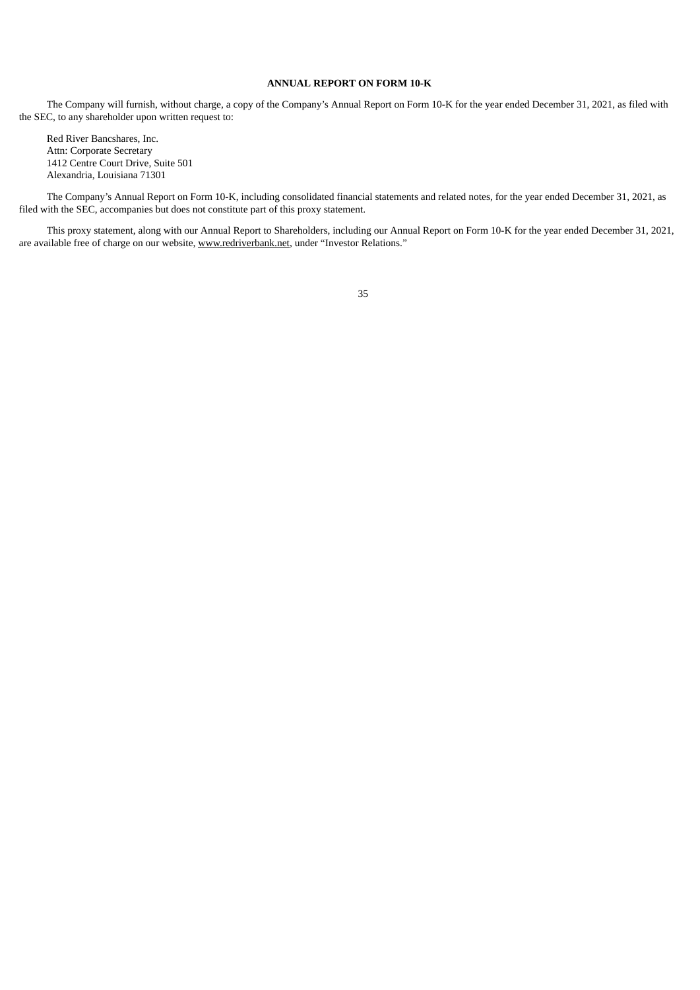# **ANNUAL REPORT ON FORM 10-K**

The Company will furnish, without charge, a copy of the Company's Annual Report on Form 10-K for the year ended December 31, 2021, as filed with the SEC, to any shareholder upon written request to:

Red River Bancshares, Inc. Attn: Corporate Secretary 1412 Centre Court Drive, Suite 501 Alexandria, Louisiana 71301

The Company's Annual Report on Form 10-K, including consolidated financial statements and related notes, for the year ended December 31, 2021, as filed with the SEC, accompanies but does not constitute part of this proxy statement.

This proxy statement, along with our Annual Report to Shareholders, including our Annual Report on Form 10-K for the year ended December 31, 2021, are available free of charge on our website, www.redriverbank.net, under "Investor Relations."

35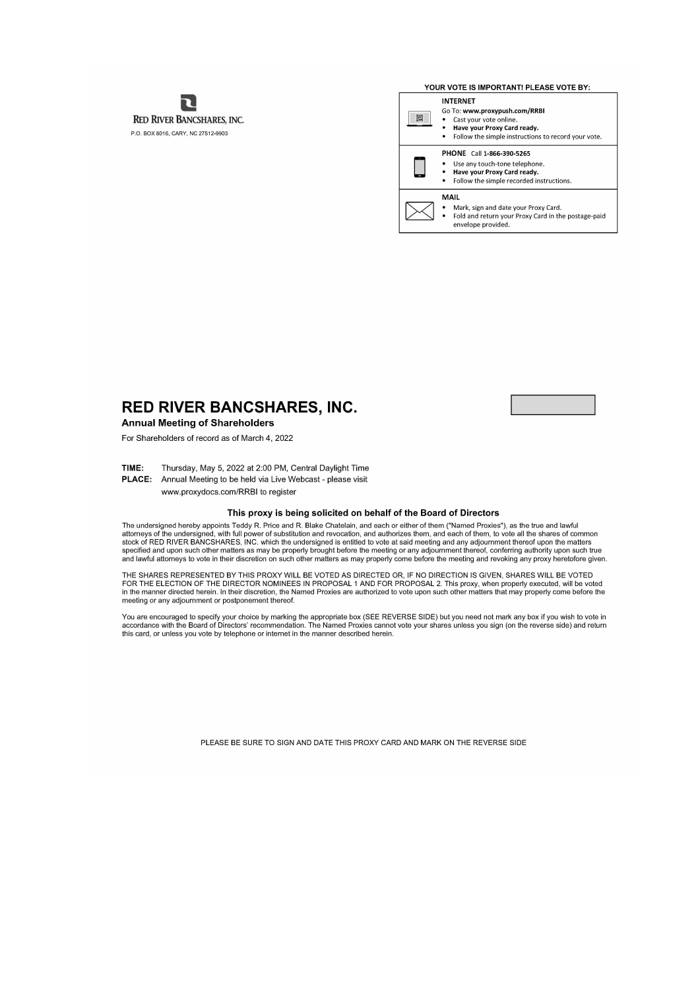ת **RED RIVER BANCSHARES, INC.** P.O. BOX 8016, CARY, NC 27512-9903

YOUR VOTE IS IMPORTANT! PLEASE VOTE BY: **INTERNET** Go To: www.proxypush.com/RRBI  $\begin{array}{c} 0.00000\\ 0.00000\\ 0.0000\\ \end{array}$ Cast your vote online. Have your Proxy Card ready.  $\bullet$ Follow the simple instructions to record your vote. PHONE Call 1-866-390-5265 Use any touch-tone telephone.  $\overline{\phantom{a}}$ Have your Proxy Card ready.  $\bullet$ Follow the simple recorded instructions. MAIL Mark, sign and date your Proxy Card.

Fold and return your Proxy Card in the postage-paid envelope provided.

# **RED RIVER BANCSHARES, INC.**

# **Annual Meeting of Shareholders**

For Shareholders of record as of March 4, 2022

TIME: Thursday, May 5, 2022 at 2:00 PM, Central Daylight Time

PLACE: Annual Meeting to be held via Live Webcast - please visit

www.proxydocs.com/RRBI to register

# This proxy is being solicited on behalf of the Board of Directors

The undersigned hereby appoints Teddy R. Price and R. Blake Chatelain, and each or either of them ("Named Proxies"), as the true and lawful The undersigned network in the day R. Price and R. Biake Chatelain, and authorizes them, and each of them, to be all the shares of common<br>stock of RED RIVER BANCSHARES, INC. which the undersigned is entitled to vote at sai

THE SHARES REPRESENTED BY THIS PROXY WILL BE VOTED AS DIRECTED OR. IF NO DIRECTION IS GIVEN, SHARES WILL BE VOTED FOR THE ELECTION OF THE DIRECTOR NOMINEES IN PROPOSAL 1 AND FOR PROPOSAL 2. This proxy, when properly executed, will be voted<br>In the manner directed herein. In their discretion, the Named Proxies are authorized to vote upo meeting or any adjournment or postponement thereof.

You are encouraged to specify your choice by marking the appropriate box (SEE REVERSE SIDE) but you need not mark any box if you wish to vote in<br>accordance with the Board of Directors' recommendation. The Named Proxies can this card, or unless you vote by telephone or internet in the manner described herein.

PLEASE BE SURE TO SIGN AND DATE THIS PROXY CARD AND MARK ON THE REVERSE SIDE